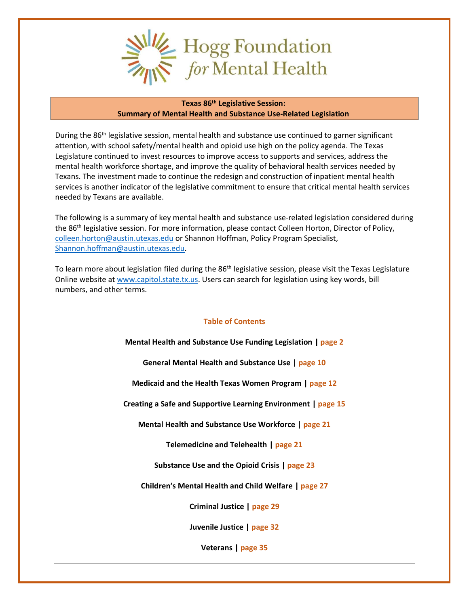

#### **Texas 86th Legislative Session: Summary of Mental Health and Substance Use-Related Legislation**

During the 86<sup>th</sup> legislative session, mental health and substance use continued to garner significant attention, with school safety/mental health and opioid use high on the policy agenda. The Texas Legislature continued to invest resources to improve access to supports and services, address the mental health workforce shortage, and improve the quality of behavioral health services needed by Texans. The investment made to continue the redesign and construction of inpatient mental health services is another indicator of the legislative commitment to ensure that critical mental health services needed by Texans are available.

The following is a summary of key mental health and substance use-related legislation considered during the 86th legislative session. For more information, please contact Colleen Horton, Director of Policy, [colleen.horton@austin.utexas.edu](mailto:colleen.horton@austin.utexas.edu) or Shannon Hoffman, Policy Program Specialist, [Shannon.hoffman@austin.utexas.edu.](mailto:Shannon.hoffman@austin.utexas.edu)

To learn more about legislation filed during the 86<sup>th</sup> legislative session, please visit the Texas Legislature Online website at [www.capitol.state.tx.us.](http://www.capitol.state.tx.us/) Users can search for legislation using key words, bill numbers, and other terms.

#### **Table of Contents**

**Mental Health and Substance Use Funding Legislation | page 2**

**General Mental Health and Substance Use | page 10**

**Medicaid and the Health Texas Women Program | page 12**

**Creating a Safe and Supportive Learning Environment | page 15**

**Mental Health and Substance Use Workforce | page 21**

**Telemedicine and Telehealth | page 21**

**Substance Use and the Opioid Crisis | page 23**

**Children's Mental Health and Child Welfare | page 27**

**Criminal Justice | page 29**

**Juvenile Justice | page 32**

**Veterans | page 35**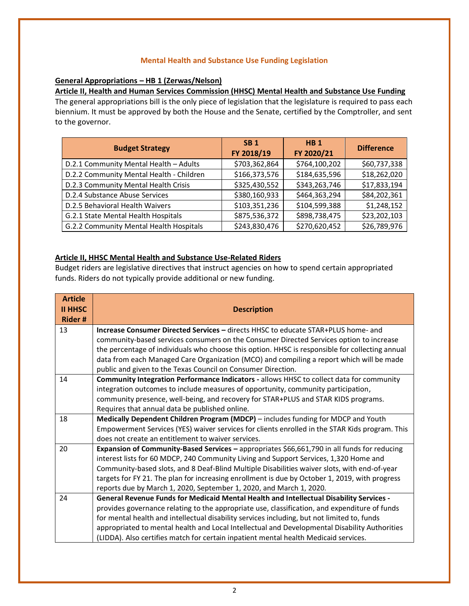#### **Mental Health and Substance Use Funding Legislation**

### **General Appropriations – HB 1 (Zerwas/Nelson)**

**Article II, Health and Human Services Commission (HHSC) Mental Health and Substance Use Funding**  The general appropriations bill is the only piece of legislation that the legislature is required to pass each biennium. It must be approved by both the House and the Senate, certified by the Comptroller, and sent to the governor.

| <b>Budget Strategy</b>                   | <b>SB1</b><br>FY 2018/19 | HB <sub>1</sub><br>FY 2020/21 | <b>Difference</b> |
|------------------------------------------|--------------------------|-------------------------------|-------------------|
| D.2.1 Community Mental Health - Adults   | \$703,362,864            | \$764,100,202                 | \$60,737,338      |
| D.2.2 Community Mental Health - Children | \$166,373,576            | \$184,635,596                 | \$18,262,020      |
| D.2.3 Community Mental Health Crisis     | \$325,430,552            | \$343,263,746                 | \$17,833,194      |
| D.2.4 Substance Abuse Services           | \$380,160,933            | \$464,363,294                 | \$84,202,361      |
| D.2.5 Behavioral Health Waivers          | \$103,351,236            | \$104,599,388                 | \$1,248,152       |
| G.2.1 State Mental Health Hospitals      | \$875,536,372            | \$898,738,475                 | \$23,202,103      |
| G.2.2 Community Mental Health Hospitals  | \$243,830,476            | \$270,620,452                 | \$26,789,976      |

#### **Article II, HHSC Mental Health and Substance Use-Related Riders**

Budget riders are legislative directives that instruct agencies on how to spend certain appropriated funds. Riders do not typically provide additional or new funding.

| <b>Article</b>                  |                                                                                                 |
|---------------------------------|-------------------------------------------------------------------------------------------------|
| <b>II HHSC</b><br><b>Rider#</b> | <b>Description</b>                                                                              |
| 13                              | <b>Increase Consumer Directed Services - directs HHSC to educate STAR+PLUS home- and</b>        |
|                                 | community-based services consumers on the Consumer Directed Services option to increase         |
|                                 | the percentage of individuals who choose this option. HHSC is responsible for collecting annual |
|                                 | data from each Managed Care Organization (MCO) and compiling a report which will be made        |
|                                 | public and given to the Texas Council on Consumer Direction.                                    |
| 14                              | <b>Community Integration Performance Indicators - allows HHSC to collect data for community</b> |
|                                 | integration outcomes to include measures of opportunity, community participation,               |
|                                 | community presence, well-being, and recovery for STAR+PLUS and STAR KIDS programs.              |
|                                 | Requires that annual data be published online.                                                  |
| 18                              | Medically Dependent Children Program (MDCP) – includes funding for MDCP and Youth               |
|                                 | Empowerment Services (YES) waiver services for clients enrolled in the STAR Kids program. This  |
|                                 | does not create an entitlement to waiver services.                                              |
| 20                              | Expansion of Community-Based Services - appropriates \$66,661,790 in all funds for reducing     |
|                                 | interest lists for 60 MDCP, 240 Community Living and Support Services, 1,320 Home and           |
|                                 | Community-based slots, and 8 Deaf-Blind Multiple Disabilities waiver slots, with end-of-year    |
|                                 | targets for FY 21. The plan for increasing enrollment is due by October 1, 2019, with progress  |
|                                 | reports due by March 1, 2020, September 1, 2020, and March 1, 2020.                             |
| 24                              | <b>General Revenue Funds for Medicaid Mental Health and Intellectual Disability Services -</b>  |
|                                 | provides governance relating to the appropriate use, classification, and expenditure of funds   |
|                                 | for mental health and intellectual disability services including, but not limited to, funds     |
|                                 | appropriated to mental health and Local Intellectual and Developmental Disability Authorities   |
|                                 | (LIDDA). Also certifies match for certain inpatient mental health Medicaid services.            |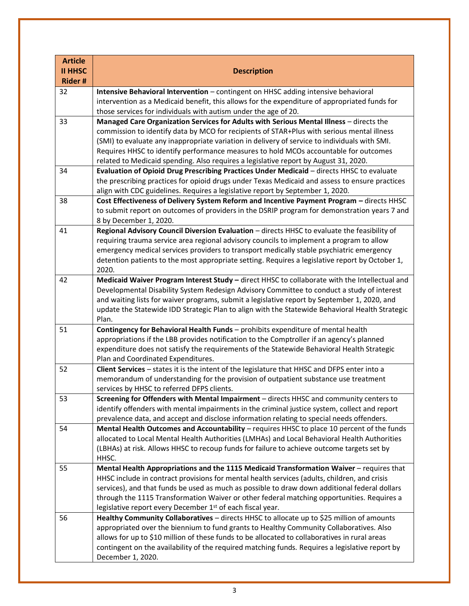| <b>Article</b> |                                                                                                                                                                                          |
|----------------|------------------------------------------------------------------------------------------------------------------------------------------------------------------------------------------|
| <b>II HHSC</b> | <b>Description</b>                                                                                                                                                                       |
| <b>Rider#</b>  |                                                                                                                                                                                          |
| 32             | Intensive Behavioral Intervention - contingent on HHSC adding intensive behavioral                                                                                                       |
|                | intervention as a Medicaid benefit, this allows for the expenditure of appropriated funds for<br>those services for individuals with autism under the age of 20.                         |
| 33             | Managed Care Organization Services for Adults with Serious Mental Illness - directs the                                                                                                  |
|                | commission to identify data by MCO for recipients of STAR+Plus with serious mental illness                                                                                               |
|                | (SMI) to evaluate any inappropriate variation in delivery of service to individuals with SMI.                                                                                            |
|                | Requires HHSC to identify performance measures to hold MCOs accountable for outcomes                                                                                                     |
|                | related to Medicaid spending. Also requires a legislative report by August 31, 2020.                                                                                                     |
| 34             | Evaluation of Opioid Drug Prescribing Practices Under Medicaid - directs HHSC to evaluate                                                                                                |
|                | the prescribing practices for opioid drugs under Texas Medicaid and assess to ensure practices                                                                                           |
|                | align with CDC guidelines. Requires a legislative report by September 1, 2020.                                                                                                           |
| 38             | Cost Effectiveness of Delivery System Reform and Incentive Payment Program - directs HHSC                                                                                                |
|                | to submit report on outcomes of providers in the DSRIP program for demonstration years 7 and                                                                                             |
|                | 8 by December 1, 2020.                                                                                                                                                                   |
| 41             | Regional Advisory Council Diversion Evaluation - directs HHSC to evaluate the feasibility of                                                                                             |
|                | requiring trauma service area regional advisory councils to implement a program to allow                                                                                                 |
|                | emergency medical services providers to transport medically stable psychiatric emergency                                                                                                 |
|                | detention patients to the most appropriate setting. Requires a legislative report by October 1,<br>2020.                                                                                 |
| 42             | Medicaid Waiver Program Interest Study - direct HHSC to collaborate with the Intellectual and                                                                                            |
|                | Developmental Disability System Redesign Advisory Committee to conduct a study of interest                                                                                               |
|                | and waiting lists for waiver programs, submit a legislative report by September 1, 2020, and                                                                                             |
|                | update the Statewide IDD Strategic Plan to align with the Statewide Behavioral Health Strategic                                                                                          |
|                | Plan.                                                                                                                                                                                    |
| 51             | Contingency for Behavioral Health Funds - prohibits expenditure of mental health                                                                                                         |
|                | appropriations if the LBB provides notification to the Comptroller if an agency's planned                                                                                                |
|                | expenditure does not satisfy the requirements of the Statewide Behavioral Health Strategic                                                                                               |
|                | Plan and Coordinated Expenditures.                                                                                                                                                       |
| 52             | Client Services - states it is the intent of the legislature that HHSC and DFPS enter into a                                                                                             |
|                | memorandum of understanding for the provision of outpatient substance use treatment                                                                                                      |
| 53             | services by HHSC to referred DFPS clients.<br>Screening for Offenders with Mental Impairment - directs HHSC and community centers to                                                     |
|                | identify offenders with mental impairments in the criminal justice system, collect and report                                                                                            |
|                | prevalence data, and accept and disclose information relating to special needs offenders.                                                                                                |
| 54             | Mental Health Outcomes and Accountability - requires HHSC to place 10 percent of the funds                                                                                               |
|                | allocated to Local Mental Health Authorities (LMHAs) and Local Behavioral Health Authorities                                                                                             |
|                | (LBHAs) at risk. Allows HHSC to recoup funds for failure to achieve outcome targets set by                                                                                               |
|                | HHSC.                                                                                                                                                                                    |
| 55             | Mental Health Appropriations and the 1115 Medicaid Transformation Waiver - requires that                                                                                                 |
|                | HHSC include in contract provisions for mental health services (adults, children, and crisis                                                                                             |
|                | services), and that funds be used as much as possible to draw down additional federal dollars                                                                                            |
|                | through the 1115 Transformation Waiver or other federal matching opportunities. Requires a                                                                                               |
|                | legislative report every December 1 <sup>st</sup> of each fiscal year.                                                                                                                   |
| 56             | Healthy Community Collaboratives - directs HHSC to allocate up to \$25 million of amounts                                                                                                |
|                | appropriated over the biennium to fund grants to Healthy Community Collaboratives. Also<br>allows for up to \$10 million of these funds to be allocated to collaboratives in rural areas |
|                | contingent on the availability of the required matching funds. Requires a legislative report by                                                                                          |
|                | December 1, 2020.                                                                                                                                                                        |
|                |                                                                                                                                                                                          |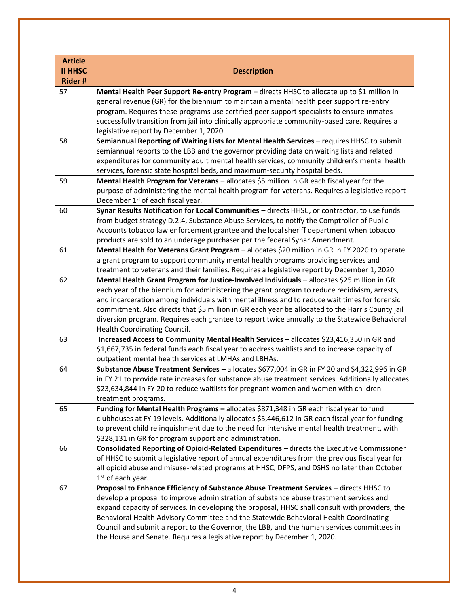| <b>Article</b><br><b>II HHSC</b><br><b>Rider#</b> | <b>Description</b>                                                                                                                                                                                                                                                                                                                                                                                                                                                                                                                                                                                                                                                                                                                                                                                                                                                                                                                                                                                                                                                                                                                                                                                                                                                                                                                                                                                                                                                                                                                                                                                                                                                                                                                                                                                                                                                                                                                                                                                                                                                                                                                                                                                                                                                                                                                                                                                                                                                                                                                                                                                                                                                                                                                                                                             |
|---------------------------------------------------|------------------------------------------------------------------------------------------------------------------------------------------------------------------------------------------------------------------------------------------------------------------------------------------------------------------------------------------------------------------------------------------------------------------------------------------------------------------------------------------------------------------------------------------------------------------------------------------------------------------------------------------------------------------------------------------------------------------------------------------------------------------------------------------------------------------------------------------------------------------------------------------------------------------------------------------------------------------------------------------------------------------------------------------------------------------------------------------------------------------------------------------------------------------------------------------------------------------------------------------------------------------------------------------------------------------------------------------------------------------------------------------------------------------------------------------------------------------------------------------------------------------------------------------------------------------------------------------------------------------------------------------------------------------------------------------------------------------------------------------------------------------------------------------------------------------------------------------------------------------------------------------------------------------------------------------------------------------------------------------------------------------------------------------------------------------------------------------------------------------------------------------------------------------------------------------------------------------------------------------------------------------------------------------------------------------------------------------------------------------------------------------------------------------------------------------------------------------------------------------------------------------------------------------------------------------------------------------------------------------------------------------------------------------------------------------------------------------------------------------------------------------------------------------------|
| 57                                                | Mental Health Peer Support Re-entry Program - directs HHSC to allocate up to \$1 million in                                                                                                                                                                                                                                                                                                                                                                                                                                                                                                                                                                                                                                                                                                                                                                                                                                                                                                                                                                                                                                                                                                                                                                                                                                                                                                                                                                                                                                                                                                                                                                                                                                                                                                                                                                                                                                                                                                                                                                                                                                                                                                                                                                                                                                                                                                                                                                                                                                                                                                                                                                                                                                                                                                    |
|                                                   | general revenue (GR) for the biennium to maintain a mental health peer support re-entry                                                                                                                                                                                                                                                                                                                                                                                                                                                                                                                                                                                                                                                                                                                                                                                                                                                                                                                                                                                                                                                                                                                                                                                                                                                                                                                                                                                                                                                                                                                                                                                                                                                                                                                                                                                                                                                                                                                                                                                                                                                                                                                                                                                                                                                                                                                                                                                                                                                                                                                                                                                                                                                                                                        |
|                                                   | program. Requires these programs use certified peer support specialists to ensure inmates                                                                                                                                                                                                                                                                                                                                                                                                                                                                                                                                                                                                                                                                                                                                                                                                                                                                                                                                                                                                                                                                                                                                                                                                                                                                                                                                                                                                                                                                                                                                                                                                                                                                                                                                                                                                                                                                                                                                                                                                                                                                                                                                                                                                                                                                                                                                                                                                                                                                                                                                                                                                                                                                                                      |
|                                                   | successfully transition from jail into clinically appropriate community-based care. Requires a                                                                                                                                                                                                                                                                                                                                                                                                                                                                                                                                                                                                                                                                                                                                                                                                                                                                                                                                                                                                                                                                                                                                                                                                                                                                                                                                                                                                                                                                                                                                                                                                                                                                                                                                                                                                                                                                                                                                                                                                                                                                                                                                                                                                                                                                                                                                                                                                                                                                                                                                                                                                                                                                                                 |
|                                                   | legislative report by December 1, 2020.                                                                                                                                                                                                                                                                                                                                                                                                                                                                                                                                                                                                                                                                                                                                                                                                                                                                                                                                                                                                                                                                                                                                                                                                                                                                                                                                                                                                                                                                                                                                                                                                                                                                                                                                                                                                                                                                                                                                                                                                                                                                                                                                                                                                                                                                                                                                                                                                                                                                                                                                                                                                                                                                                                                                                        |
|                                                   |                                                                                                                                                                                                                                                                                                                                                                                                                                                                                                                                                                                                                                                                                                                                                                                                                                                                                                                                                                                                                                                                                                                                                                                                                                                                                                                                                                                                                                                                                                                                                                                                                                                                                                                                                                                                                                                                                                                                                                                                                                                                                                                                                                                                                                                                                                                                                                                                                                                                                                                                                                                                                                                                                                                                                                                                |
|                                                   |                                                                                                                                                                                                                                                                                                                                                                                                                                                                                                                                                                                                                                                                                                                                                                                                                                                                                                                                                                                                                                                                                                                                                                                                                                                                                                                                                                                                                                                                                                                                                                                                                                                                                                                                                                                                                                                                                                                                                                                                                                                                                                                                                                                                                                                                                                                                                                                                                                                                                                                                                                                                                                                                                                                                                                                                |
|                                                   |                                                                                                                                                                                                                                                                                                                                                                                                                                                                                                                                                                                                                                                                                                                                                                                                                                                                                                                                                                                                                                                                                                                                                                                                                                                                                                                                                                                                                                                                                                                                                                                                                                                                                                                                                                                                                                                                                                                                                                                                                                                                                                                                                                                                                                                                                                                                                                                                                                                                                                                                                                                                                                                                                                                                                                                                |
|                                                   |                                                                                                                                                                                                                                                                                                                                                                                                                                                                                                                                                                                                                                                                                                                                                                                                                                                                                                                                                                                                                                                                                                                                                                                                                                                                                                                                                                                                                                                                                                                                                                                                                                                                                                                                                                                                                                                                                                                                                                                                                                                                                                                                                                                                                                                                                                                                                                                                                                                                                                                                                                                                                                                                                                                                                                                                |
|                                                   |                                                                                                                                                                                                                                                                                                                                                                                                                                                                                                                                                                                                                                                                                                                                                                                                                                                                                                                                                                                                                                                                                                                                                                                                                                                                                                                                                                                                                                                                                                                                                                                                                                                                                                                                                                                                                                                                                                                                                                                                                                                                                                                                                                                                                                                                                                                                                                                                                                                                                                                                                                                                                                                                                                                                                                                                |
|                                                   |                                                                                                                                                                                                                                                                                                                                                                                                                                                                                                                                                                                                                                                                                                                                                                                                                                                                                                                                                                                                                                                                                                                                                                                                                                                                                                                                                                                                                                                                                                                                                                                                                                                                                                                                                                                                                                                                                                                                                                                                                                                                                                                                                                                                                                                                                                                                                                                                                                                                                                                                                                                                                                                                                                                                                                                                |
| 60                                                |                                                                                                                                                                                                                                                                                                                                                                                                                                                                                                                                                                                                                                                                                                                                                                                                                                                                                                                                                                                                                                                                                                                                                                                                                                                                                                                                                                                                                                                                                                                                                                                                                                                                                                                                                                                                                                                                                                                                                                                                                                                                                                                                                                                                                                                                                                                                                                                                                                                                                                                                                                                                                                                                                                                                                                                                |
|                                                   |                                                                                                                                                                                                                                                                                                                                                                                                                                                                                                                                                                                                                                                                                                                                                                                                                                                                                                                                                                                                                                                                                                                                                                                                                                                                                                                                                                                                                                                                                                                                                                                                                                                                                                                                                                                                                                                                                                                                                                                                                                                                                                                                                                                                                                                                                                                                                                                                                                                                                                                                                                                                                                                                                                                                                                                                |
|                                                   | Accounts tobacco law enforcement grantee and the local sheriff department when tobacco                                                                                                                                                                                                                                                                                                                                                                                                                                                                                                                                                                                                                                                                                                                                                                                                                                                                                                                                                                                                                                                                                                                                                                                                                                                                                                                                                                                                                                                                                                                                                                                                                                                                                                                                                                                                                                                                                                                                                                                                                                                                                                                                                                                                                                                                                                                                                                                                                                                                                                                                                                                                                                                                                                         |
|                                                   | products are sold to an underage purchaser per the federal Synar Amendment.                                                                                                                                                                                                                                                                                                                                                                                                                                                                                                                                                                                                                                                                                                                                                                                                                                                                                                                                                                                                                                                                                                                                                                                                                                                                                                                                                                                                                                                                                                                                                                                                                                                                                                                                                                                                                                                                                                                                                                                                                                                                                                                                                                                                                                                                                                                                                                                                                                                                                                                                                                                                                                                                                                                    |
| 61                                                | Mental Health for Veterans Grant Program - allocates \$20 million in GR in FY 2020 to operate                                                                                                                                                                                                                                                                                                                                                                                                                                                                                                                                                                                                                                                                                                                                                                                                                                                                                                                                                                                                                                                                                                                                                                                                                                                                                                                                                                                                                                                                                                                                                                                                                                                                                                                                                                                                                                                                                                                                                                                                                                                                                                                                                                                                                                                                                                                                                                                                                                                                                                                                                                                                                                                                                                  |
|                                                   | a grant program to support community mental health programs providing services and                                                                                                                                                                                                                                                                                                                                                                                                                                                                                                                                                                                                                                                                                                                                                                                                                                                                                                                                                                                                                                                                                                                                                                                                                                                                                                                                                                                                                                                                                                                                                                                                                                                                                                                                                                                                                                                                                                                                                                                                                                                                                                                                                                                                                                                                                                                                                                                                                                                                                                                                                                                                                                                                                                             |
|                                                   |                                                                                                                                                                                                                                                                                                                                                                                                                                                                                                                                                                                                                                                                                                                                                                                                                                                                                                                                                                                                                                                                                                                                                                                                                                                                                                                                                                                                                                                                                                                                                                                                                                                                                                                                                                                                                                                                                                                                                                                                                                                                                                                                                                                                                                                                                                                                                                                                                                                                                                                                                                                                                                                                                                                                                                                                |
|                                                   |                                                                                                                                                                                                                                                                                                                                                                                                                                                                                                                                                                                                                                                                                                                                                                                                                                                                                                                                                                                                                                                                                                                                                                                                                                                                                                                                                                                                                                                                                                                                                                                                                                                                                                                                                                                                                                                                                                                                                                                                                                                                                                                                                                                                                                                                                                                                                                                                                                                                                                                                                                                                                                                                                                                                                                                                |
|                                                   |                                                                                                                                                                                                                                                                                                                                                                                                                                                                                                                                                                                                                                                                                                                                                                                                                                                                                                                                                                                                                                                                                                                                                                                                                                                                                                                                                                                                                                                                                                                                                                                                                                                                                                                                                                                                                                                                                                                                                                                                                                                                                                                                                                                                                                                                                                                                                                                                                                                                                                                                                                                                                                                                                                                                                                                                |
|                                                   |                                                                                                                                                                                                                                                                                                                                                                                                                                                                                                                                                                                                                                                                                                                                                                                                                                                                                                                                                                                                                                                                                                                                                                                                                                                                                                                                                                                                                                                                                                                                                                                                                                                                                                                                                                                                                                                                                                                                                                                                                                                                                                                                                                                                                                                                                                                                                                                                                                                                                                                                                                                                                                                                                                                                                                                                |
|                                                   |                                                                                                                                                                                                                                                                                                                                                                                                                                                                                                                                                                                                                                                                                                                                                                                                                                                                                                                                                                                                                                                                                                                                                                                                                                                                                                                                                                                                                                                                                                                                                                                                                                                                                                                                                                                                                                                                                                                                                                                                                                                                                                                                                                                                                                                                                                                                                                                                                                                                                                                                                                                                                                                                                                                                                                                                |
|                                                   |                                                                                                                                                                                                                                                                                                                                                                                                                                                                                                                                                                                                                                                                                                                                                                                                                                                                                                                                                                                                                                                                                                                                                                                                                                                                                                                                                                                                                                                                                                                                                                                                                                                                                                                                                                                                                                                                                                                                                                                                                                                                                                                                                                                                                                                                                                                                                                                                                                                                                                                                                                                                                                                                                                                                                                                                |
|                                                   |                                                                                                                                                                                                                                                                                                                                                                                                                                                                                                                                                                                                                                                                                                                                                                                                                                                                                                                                                                                                                                                                                                                                                                                                                                                                                                                                                                                                                                                                                                                                                                                                                                                                                                                                                                                                                                                                                                                                                                                                                                                                                                                                                                                                                                                                                                                                                                                                                                                                                                                                                                                                                                                                                                                                                                                                |
|                                                   |                                                                                                                                                                                                                                                                                                                                                                                                                                                                                                                                                                                                                                                                                                                                                                                                                                                                                                                                                                                                                                                                                                                                                                                                                                                                                                                                                                                                                                                                                                                                                                                                                                                                                                                                                                                                                                                                                                                                                                                                                                                                                                                                                                                                                                                                                                                                                                                                                                                                                                                                                                                                                                                                                                                                                                                                |
|                                                   |                                                                                                                                                                                                                                                                                                                                                                                                                                                                                                                                                                                                                                                                                                                                                                                                                                                                                                                                                                                                                                                                                                                                                                                                                                                                                                                                                                                                                                                                                                                                                                                                                                                                                                                                                                                                                                                                                                                                                                                                                                                                                                                                                                                                                                                                                                                                                                                                                                                                                                                                                                                                                                                                                                                                                                                                |
| 64                                                |                                                                                                                                                                                                                                                                                                                                                                                                                                                                                                                                                                                                                                                                                                                                                                                                                                                                                                                                                                                                                                                                                                                                                                                                                                                                                                                                                                                                                                                                                                                                                                                                                                                                                                                                                                                                                                                                                                                                                                                                                                                                                                                                                                                                                                                                                                                                                                                                                                                                                                                                                                                                                                                                                                                                                                                                |
|                                                   | in FY 21 to provide rate increases for substance abuse treatment services. Additionally allocates                                                                                                                                                                                                                                                                                                                                                                                                                                                                                                                                                                                                                                                                                                                                                                                                                                                                                                                                                                                                                                                                                                                                                                                                                                                                                                                                                                                                                                                                                                                                                                                                                                                                                                                                                                                                                                                                                                                                                                                                                                                                                                                                                                                                                                                                                                                                                                                                                                                                                                                                                                                                                                                                                              |
|                                                   | \$23,634,844 in FY 20 to reduce waitlists for pregnant women and women with children                                                                                                                                                                                                                                                                                                                                                                                                                                                                                                                                                                                                                                                                                                                                                                                                                                                                                                                                                                                                                                                                                                                                                                                                                                                                                                                                                                                                                                                                                                                                                                                                                                                                                                                                                                                                                                                                                                                                                                                                                                                                                                                                                                                                                                                                                                                                                                                                                                                                                                                                                                                                                                                                                                           |
|                                                   | treatment programs.                                                                                                                                                                                                                                                                                                                                                                                                                                                                                                                                                                                                                                                                                                                                                                                                                                                                                                                                                                                                                                                                                                                                                                                                                                                                                                                                                                                                                                                                                                                                                                                                                                                                                                                                                                                                                                                                                                                                                                                                                                                                                                                                                                                                                                                                                                                                                                                                                                                                                                                                                                                                                                                                                                                                                                            |
| 65                                                | Funding for Mental Health Programs - allocates \$871,348 in GR each fiscal year to fund                                                                                                                                                                                                                                                                                                                                                                                                                                                                                                                                                                                                                                                                                                                                                                                                                                                                                                                                                                                                                                                                                                                                                                                                                                                                                                                                                                                                                                                                                                                                                                                                                                                                                                                                                                                                                                                                                                                                                                                                                                                                                                                                                                                                                                                                                                                                                                                                                                                                                                                                                                                                                                                                                                        |
|                                                   |                                                                                                                                                                                                                                                                                                                                                                                                                                                                                                                                                                                                                                                                                                                                                                                                                                                                                                                                                                                                                                                                                                                                                                                                                                                                                                                                                                                                                                                                                                                                                                                                                                                                                                                                                                                                                                                                                                                                                                                                                                                                                                                                                                                                                                                                                                                                                                                                                                                                                                                                                                                                                                                                                                                                                                                                |
|                                                   |                                                                                                                                                                                                                                                                                                                                                                                                                                                                                                                                                                                                                                                                                                                                                                                                                                                                                                                                                                                                                                                                                                                                                                                                                                                                                                                                                                                                                                                                                                                                                                                                                                                                                                                                                                                                                                                                                                                                                                                                                                                                                                                                                                                                                                                                                                                                                                                                                                                                                                                                                                                                                                                                                                                                                                                                |
|                                                   |                                                                                                                                                                                                                                                                                                                                                                                                                                                                                                                                                                                                                                                                                                                                                                                                                                                                                                                                                                                                                                                                                                                                                                                                                                                                                                                                                                                                                                                                                                                                                                                                                                                                                                                                                                                                                                                                                                                                                                                                                                                                                                                                                                                                                                                                                                                                                                                                                                                                                                                                                                                                                                                                                                                                                                                                |
|                                                   |                                                                                                                                                                                                                                                                                                                                                                                                                                                                                                                                                                                                                                                                                                                                                                                                                                                                                                                                                                                                                                                                                                                                                                                                                                                                                                                                                                                                                                                                                                                                                                                                                                                                                                                                                                                                                                                                                                                                                                                                                                                                                                                                                                                                                                                                                                                                                                                                                                                                                                                                                                                                                                                                                                                                                                                                |
|                                                   |                                                                                                                                                                                                                                                                                                                                                                                                                                                                                                                                                                                                                                                                                                                                                                                                                                                                                                                                                                                                                                                                                                                                                                                                                                                                                                                                                                                                                                                                                                                                                                                                                                                                                                                                                                                                                                                                                                                                                                                                                                                                                                                                                                                                                                                                                                                                                                                                                                                                                                                                                                                                                                                                                                                                                                                                |
|                                                   |                                                                                                                                                                                                                                                                                                                                                                                                                                                                                                                                                                                                                                                                                                                                                                                                                                                                                                                                                                                                                                                                                                                                                                                                                                                                                                                                                                                                                                                                                                                                                                                                                                                                                                                                                                                                                                                                                                                                                                                                                                                                                                                                                                                                                                                                                                                                                                                                                                                                                                                                                                                                                                                                                                                                                                                                |
|                                                   |                                                                                                                                                                                                                                                                                                                                                                                                                                                                                                                                                                                                                                                                                                                                                                                                                                                                                                                                                                                                                                                                                                                                                                                                                                                                                                                                                                                                                                                                                                                                                                                                                                                                                                                                                                                                                                                                                                                                                                                                                                                                                                                                                                                                                                                                                                                                                                                                                                                                                                                                                                                                                                                                                                                                                                                                |
|                                                   |                                                                                                                                                                                                                                                                                                                                                                                                                                                                                                                                                                                                                                                                                                                                                                                                                                                                                                                                                                                                                                                                                                                                                                                                                                                                                                                                                                                                                                                                                                                                                                                                                                                                                                                                                                                                                                                                                                                                                                                                                                                                                                                                                                                                                                                                                                                                                                                                                                                                                                                                                                                                                                                                                                                                                                                                |
|                                                   |                                                                                                                                                                                                                                                                                                                                                                                                                                                                                                                                                                                                                                                                                                                                                                                                                                                                                                                                                                                                                                                                                                                                                                                                                                                                                                                                                                                                                                                                                                                                                                                                                                                                                                                                                                                                                                                                                                                                                                                                                                                                                                                                                                                                                                                                                                                                                                                                                                                                                                                                                                                                                                                                                                                                                                                                |
|                                                   |                                                                                                                                                                                                                                                                                                                                                                                                                                                                                                                                                                                                                                                                                                                                                                                                                                                                                                                                                                                                                                                                                                                                                                                                                                                                                                                                                                                                                                                                                                                                                                                                                                                                                                                                                                                                                                                                                                                                                                                                                                                                                                                                                                                                                                                                                                                                                                                                                                                                                                                                                                                                                                                                                                                                                                                                |
|                                                   | Council and submit a report to the Governor, the LBB, and the human services committees in                                                                                                                                                                                                                                                                                                                                                                                                                                                                                                                                                                                                                                                                                                                                                                                                                                                                                                                                                                                                                                                                                                                                                                                                                                                                                                                                                                                                                                                                                                                                                                                                                                                                                                                                                                                                                                                                                                                                                                                                                                                                                                                                                                                                                                                                                                                                                                                                                                                                                                                                                                                                                                                                                                     |
|                                                   | the House and Senate. Requires a legislative report by December 1, 2020.                                                                                                                                                                                                                                                                                                                                                                                                                                                                                                                                                                                                                                                                                                                                                                                                                                                                                                                                                                                                                                                                                                                                                                                                                                                                                                                                                                                                                                                                                                                                                                                                                                                                                                                                                                                                                                                                                                                                                                                                                                                                                                                                                                                                                                                                                                                                                                                                                                                                                                                                                                                                                                                                                                                       |
| 58<br>59<br>62<br>63<br>66<br>67                  | Semiannual Reporting of Waiting Lists for Mental Health Services - requires HHSC to submit<br>semiannual reports to the LBB and the governor providing data on waiting lists and related<br>expenditures for community adult mental health services, community children's mental health<br>services, forensic state hospital beds, and maximum-security hospital beds.<br>Mental Health Program for Veterans - allocates \$5 million in GR each fiscal year for the<br>purpose of administering the mental health program for veterans. Requires a legislative report<br>December 1 <sup>st</sup> of each fiscal year.<br>Synar Results Notification for Local Communities - directs HHSC, or contractor, to use funds<br>from budget strategy D.2.4, Substance Abuse Services, to notify the Comptroller of Public<br>treatment to veterans and their families. Requires a legislative report by December 1, 2020.<br>Mental Health Grant Program for Justice-Involved Individuals - allocates \$25 million in GR<br>each year of the biennium for administering the grant program to reduce recidivism, arrests,<br>and incarceration among individuals with mental illness and to reduce wait times for forensic<br>commitment. Also directs that \$5 million in GR each year be allocated to the Harris County jail<br>diversion program. Requires each grantee to report twice annually to the Statewide Behavioral<br>Health Coordinating Council.<br>Increased Access to Community Mental Health Services - allocates \$23,416,350 in GR and<br>\$1,667,735 in federal funds each fiscal year to address waitlists and to increase capacity of<br>outpatient mental health services at LMHAs and LBHAs.<br>Substance Abuse Treatment Services - allocates \$677,004 in GR in FY 20 and \$4,322,996 in GR<br>clubhouses at FY 19 levels. Additionally allocates \$5,446,612 in GR each fiscal year for funding<br>to prevent child relinquishment due to the need for intensive mental health treatment, with<br>\$328,131 in GR for program support and administration.<br>Consolidated Reporting of Opioid-Related Expenditures - directs the Executive Commissioner<br>of HHSC to submit a legislative report of annual expenditures from the previous fiscal year for<br>all opioid abuse and misuse-related programs at HHSC, DFPS, and DSHS no later than October<br>1 <sup>st</sup> of each year.<br>Proposal to Enhance Efficiency of Substance Abuse Treatment Services - directs HHSC to<br>develop a proposal to improve administration of substance abuse treatment services and<br>expand capacity of services. In developing the proposal, HHSC shall consult with providers, the<br>Behavioral Health Advisory Committee and the Statewide Behavioral Health Coordinating |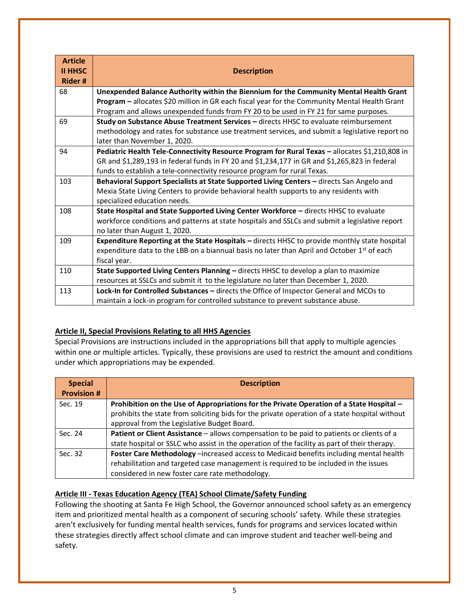| <b>Article</b><br><b>II HHSC</b><br><b>Rider#</b> | <b>Description</b>                                                                                                                                                                                                                                                               |
|---------------------------------------------------|----------------------------------------------------------------------------------------------------------------------------------------------------------------------------------------------------------------------------------------------------------------------------------|
| 68                                                | Unexpended Balance Authority within the Biennium for the Community Mental Health Grant<br>Program - allocates \$20 million in GR each fiscal year for the Community Mental Health Grant<br>Program and allows unexpended funds from FY 20 to be used in FY 21 for same purposes. |
| 69                                                | Study on Substance Abuse Treatment Services - directs HHSC to evaluate reimbursement<br>methodology and rates for substance use treatment services, and submit a legislative report no<br>later than November 1, 2020.                                                           |
| 94                                                | Pediatric Health Tele-Connectivity Resource Program for Rural Texas - allocates \$1,210,808 in<br>GR and \$1,289,193 in federal funds in FY 20 and \$1,234,177 in GR and \$1,265,823 in federal<br>funds to establish a tele-connectivity resource program for rural Texas.      |
| 103                                               | Behavioral Support Specialists at State Supported Living Centers - directs San Angelo and<br>Mexia State Living Centers to provide behavioral health supports to any residents with<br>specialized education needs.                                                              |
| 108                                               | State Hospital and State Supported Living Center Workforce - directs HHSC to evaluate<br>workforce conditions and patterns at state hospitals and SSLCs and submit a legislative report<br>no later than August 1, 2020.                                                         |
| 109                                               | Expenditure Reporting at the State Hospitals - directs HHSC to provide monthly state hospital<br>expenditure data to the LBB on a biannual basis no later than April and October 1 <sup>st</sup> of each<br>fiscal year.                                                         |
| 110                                               | State Supported Living Centers Planning - directs HHSC to develop a plan to maximize<br>resources at SSLCs and submit it to the legislature no later than December 1, 2020.                                                                                                      |
| 113                                               | Lock-In for Controlled Substances - directs the Office of Inspector General and MCOs to<br>maintain a lock-in program for controlled substance to prevent substance abuse.                                                                                                       |

### **Article II, Special Provisions Relating to all HHS Agencies**

Special Provisions are instructions included in the appropriations bill that apply to multiple agencies within one or multiple articles. Typically, these provisions are used to restrict the amount and conditions under which appropriations may be expended.

| <b>Special</b>    | <b>Description</b>                                                                             |
|-------------------|------------------------------------------------------------------------------------------------|
| <b>Provision#</b> |                                                                                                |
| Sec. 19           | Prohibition on the Use of Appropriations for the Private Operation of a State Hospital -       |
|                   | prohibits the state from soliciting bids for the private operation of a state hospital without |
|                   | approval from the Legislative Budget Board.                                                    |
| Sec. 24           | Patient or Client Assistance - allows compensation to be paid to patients or clients of a      |
|                   | state hospital or SSLC who assist in the operation of the facility as part of their therapy.   |
| Sec. 32           | Foster Care Methodology -increased access to Medicaid benefits including mental health         |
|                   | rehabilitation and targeted case management is required to be included in the issues           |
|                   | considered in new foster care rate methodology.                                                |

### **Article III - Texas Education Agency (TEA) School Climate/Safety Funding**

Following the shooting at Santa Fe High School, the Governor announced school safety as an emergency item and prioritized mental health as a component of securing schools' safety. While these strategies aren't exclusively for funding mental health services, funds for programs and services located within these strategies directly affect school climate and can improve student and teacher well-being and safety.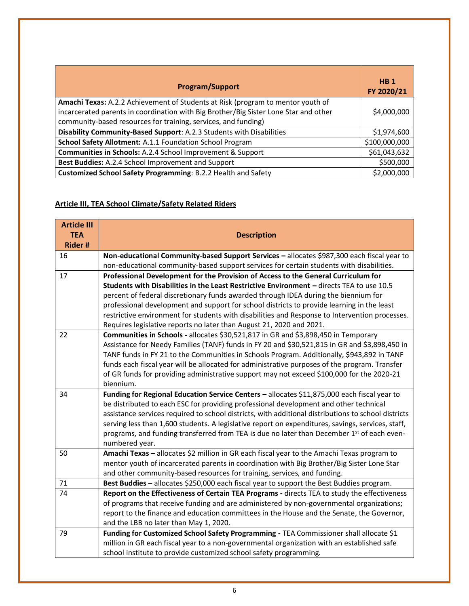| <b>Program/Support</b>                                                                                                                                                                                                                    | HB <sub>1</sub><br>FY 2020/21 |
|-------------------------------------------------------------------------------------------------------------------------------------------------------------------------------------------------------------------------------------------|-------------------------------|
| Amachi Texas: A.2.2 Achievement of Students at Risk (program to mentor youth of<br>incarcerated parents in coordination with Big Brother/Big Sister Lone Star and other<br>community-based resources for training, services, and funding) | \$4,000,000                   |
| Disability Community-Based Support: A.2.3 Students with Disabilities                                                                                                                                                                      |                               |
| School Safety Allotment: A.1.1 Foundation School Program                                                                                                                                                                                  | \$100,000,000                 |
| Communities in Schools: A.2.4 School Improvement & Support                                                                                                                                                                                | \$61,043,632                  |
| Best Buddies: A.2.4 School Improvement and Support                                                                                                                                                                                        | \$500,000                     |
| Customized School Safety Programming: B.2.2 Health and Safety                                                                                                                                                                             | \$2,000,000                   |

# **Article III, TEA School Climate/Safety Related Riders**

| <b>Article III</b> |                                                                                                     |
|--------------------|-----------------------------------------------------------------------------------------------------|
| <b>TEA</b>         | <b>Description</b>                                                                                  |
| <b>Rider#</b>      |                                                                                                     |
| 16                 | Non-educational Community-based Support Services - allocates \$987,300 each fiscal year to          |
|                    | non-educational community-based support services for certain students with disabilities.            |
| 17                 | Professional Development for the Provision of Access to the General Curriculum for                  |
|                    | Students with Disabilities in the Least Restrictive Environment - directs TEA to use 10.5           |
|                    | percent of federal discretionary funds awarded through IDEA during the biennium for                 |
|                    | professional development and support for school districts to provide learning in the least          |
|                    | restrictive environment for students with disabilities and Response to Intervention processes.      |
|                    | Requires legislative reports no later than August 21, 2020 and 2021.                                |
| 22                 | Communities in Schools - allocates \$30,521,817 in GR and \$3,898,450 in Temporary                  |
|                    | Assistance for Needy Families (TANF) funds in FY 20 and \$30,521,815 in GR and \$3,898,450 in       |
|                    | TANF funds in FY 21 to the Communities in Schools Program. Additionally, \$943,892 in TANF          |
|                    | funds each fiscal year will be allocated for administrative purposes of the program. Transfer       |
|                    | of GR funds for providing administrative support may not exceed \$100,000 for the 2020-21           |
|                    | biennium.                                                                                           |
| 34                 | Funding for Regional Education Service Centers - allocates \$11,875,000 each fiscal year to         |
|                    | be distributed to each ESC for providing professional development and other technical               |
|                    | assistance services required to school districts, with additional distributions to school districts |
|                    | serving less than 1,600 students. A legislative report on expenditures, savings, services, staff,   |
|                    | programs, and funding transferred from TEA is due no later than December 1st of each even-          |
|                    | numbered year.                                                                                      |
| 50                 | Amachi Texas - allocates \$2 million in GR each fiscal year to the Amachi Texas program to          |
|                    | mentor youth of incarcerated parents in coordination with Big Brother/Big Sister Lone Star          |
|                    | and other community-based resources for training, services, and funding.                            |
| 71                 | Best Buddies - allocates \$250,000 each fiscal year to support the Best Buddies program.            |
| 74                 | Report on the Effectiveness of Certain TEA Programs - directs TEA to study the effectiveness        |
|                    | of programs that receive funding and are administered by non-governmental organizations;            |
|                    | report to the finance and education committees in the House and the Senate, the Governor,           |
|                    | and the LBB no later than May 1, 2020.                                                              |
| 79                 | Funding for Customized School Safety Programming - TEA Commissioner shall allocate \$1              |
|                    | million in GR each fiscal year to a non-governmental organization with an established safe          |
|                    | school institute to provide customized school safety programming.                                   |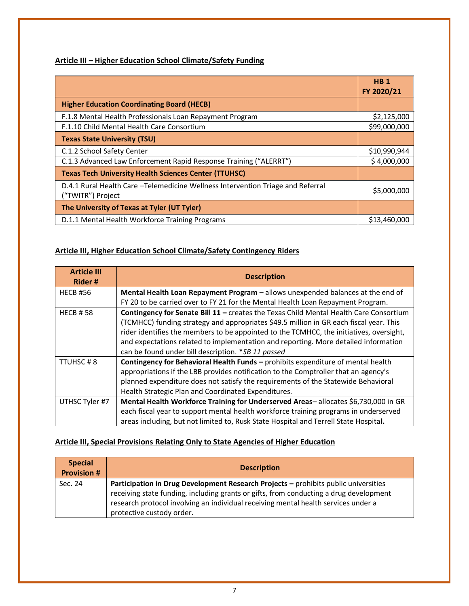### **Article III – Higher Education School Climate/Safety Funding**

|                                                                                                       | <b>HB1</b><br>FY 2020/21 |
|-------------------------------------------------------------------------------------------------------|--------------------------|
| <b>Higher Education Coordinating Board (HECB)</b>                                                     |                          |
| F.1.8 Mental Health Professionals Loan Repayment Program                                              | \$2,125,000              |
| F.1.10 Child Mental Health Care Consortium                                                            | \$99,000,000             |
| <b>Texas State University (TSU)</b>                                                                   |                          |
| C.1.2 School Safety Center                                                                            | \$10,990,944             |
| C.1.3 Advanced Law Enforcement Rapid Response Training ("ALERRT")                                     | \$4,000,000              |
| <b>Texas Tech University Health Sciences Center (TTUHSC)</b>                                          |                          |
| D.4.1 Rural Health Care - Telemedicine Wellness Intervention Triage and Referral<br>("TWITR") Project | \$5,000,000              |
| The University of Texas at Tyler (UT Tyler)                                                           |                          |
| D.1.1 Mental Health Workforce Training Programs                                                       | \$13,460,000             |

## **Article III, Higher Education School Climate/Safety Contingency Riders**

| <b>Article III</b><br>Rider# | <b>Description</b>                                                                      |
|------------------------------|-----------------------------------------------------------------------------------------|
| <b>HECB #56</b>              | Mental Health Loan Repayment Program - allows unexpended balances at the end of         |
|                              | FY 20 to be carried over to FY 21 for the Mental Health Loan Repayment Program.         |
| <b>HECB #58</b>              | Contingency for Senate Bill 11 - creates the Texas Child Mental Health Care Consortium  |
|                              | (TCMHCC) funding strategy and appropriates \$49.5 million in GR each fiscal year. This  |
|                              | rider identifies the members to be appointed to the TCMHCC, the initiatives, oversight, |
|                              | and expectations related to implementation and reporting. More detailed information     |
|                              | can be found under bill description. *SB 11 passed                                      |
| TTUHSC#8                     | Contingency for Behavioral Health Funds - prohibits expenditure of mental health        |
|                              | appropriations if the LBB provides notification to the Comptroller that an agency's     |
|                              | planned expenditure does not satisfy the requirements of the Statewide Behavioral       |
|                              | Health Strategic Plan and Coordinated Expenditures.                                     |
| UTHSC Tyler #7               | Mental Health Workforce Training for Underserved Areas-allocates \$6,730,000 in GR      |
|                              | each fiscal year to support mental health workforce training programs in underserved    |
|                              | areas including, but not limited to, Rusk State Hospital and Terrell State Hospital.    |

### **Article III, Special Provisions Relating Only to State Agencies of Higher Education**

| <b>Special</b><br><b>Provision #</b> | <b>Description</b>                                                                                                                                                                                                                                                                               |
|--------------------------------------|--------------------------------------------------------------------------------------------------------------------------------------------------------------------------------------------------------------------------------------------------------------------------------------------------|
| Sec. 24                              | Participation in Drug Development Research Projects - prohibits public universities<br>receiving state funding, including grants or gifts, from conducting a drug development<br>research protocol involving an individual receiving mental health services under a<br>protective custody order. |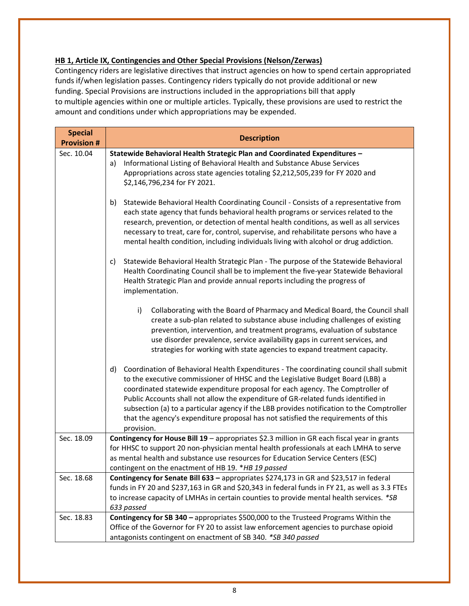### **HB 1, Article IX, Contingencies and Other Special Provisions (Nelson/Zerwas)**

Contingency riders are legislative directives that instruct agencies on how to spend certain appropriated funds if/when legislation passes. Contingency riders typically do not provide additional or new funding. Special Provisions are instructions included in the appropriations bill that apply to multiple agencies within one or multiple articles. Typically, these provisions are used to restrict the amount and conditions under which appropriations may be expended.

| <b>Special</b><br><b>Provision #</b> | <b>Description</b>                                                                                                                                                                                                                                                                                                                                                                                                                                                                                                                                    |
|--------------------------------------|-------------------------------------------------------------------------------------------------------------------------------------------------------------------------------------------------------------------------------------------------------------------------------------------------------------------------------------------------------------------------------------------------------------------------------------------------------------------------------------------------------------------------------------------------------|
| Sec. 10.04                           | Statewide Behavioral Health Strategic Plan and Coordinated Expenditures -<br>Informational Listing of Behavioral Health and Substance Abuse Services<br>a)<br>Appropriations across state agencies totaling \$2,212,505,239 for FY 2020 and<br>\$2,146,796,234 for FY 2021.                                                                                                                                                                                                                                                                           |
|                                      | Statewide Behavioral Health Coordinating Council - Consists of a representative from<br>b)<br>each state agency that funds behavioral health programs or services related to the<br>research, prevention, or detection of mental health conditions, as well as all services<br>necessary to treat, care for, control, supervise, and rehabilitate persons who have a<br>mental health condition, including individuals living with alcohol or drug addiction.                                                                                         |
|                                      | Statewide Behavioral Health Strategic Plan - The purpose of the Statewide Behavioral<br>c)<br>Health Coordinating Council shall be to implement the five-year Statewide Behavioral<br>Health Strategic Plan and provide annual reports including the progress of<br>implementation.                                                                                                                                                                                                                                                                   |
|                                      | Collaborating with the Board of Pharmacy and Medical Board, the Council shall<br>i)<br>create a sub-plan related to substance abuse including challenges of existing<br>prevention, intervention, and treatment programs, evaluation of substance<br>use disorder prevalence, service availability gaps in current services, and<br>strategies for working with state agencies to expand treatment capacity.                                                                                                                                          |
|                                      | Coordination of Behavioral Health Expenditures - The coordinating council shall submit<br>d)<br>to the executive commissioner of HHSC and the Legislative Budget Board (LBB) a<br>coordinated statewide expenditure proposal for each agency. The Comptroller of<br>Public Accounts shall not allow the expenditure of GR-related funds identified in<br>subsection (a) to a particular agency if the LBB provides notification to the Comptroller<br>that the agency's expenditure proposal has not satisfied the requirements of this<br>provision. |
| Sec. 18.09                           | Contingency for House Bill 19 - appropriates \$2.3 million in GR each fiscal year in grants<br>for HHSC to support 20 non-physician mental health professionals at each LMHA to serve<br>as mental health and substance use resources for Education Service Centers (ESC)<br>contingent on the enactment of HB 19. *HB 19 passed                                                                                                                                                                                                                      |
| Sec. 18.68                           | Contingency for Senate Bill 633 - appropriates \$274,173 in GR and \$23,517 in federal<br>funds in FY 20 and \$237,163 in GR and \$20,343 in federal funds in FY 21, as well as 3.3 FTEs<br>to increase capacity of LMHAs in certain counties to provide mental health services. *SB<br>633 passed                                                                                                                                                                                                                                                    |
| Sec. 18.83                           | Contingency for SB 340 - appropriates \$500,000 to the Trusteed Programs Within the<br>Office of the Governor for FY 20 to assist law enforcement agencies to purchase opioid<br>antagonists contingent on enactment of SB 340. *SB 340 passed                                                                                                                                                                                                                                                                                                        |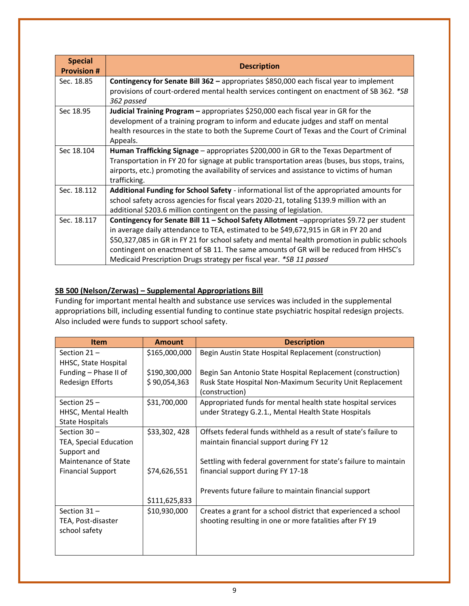| <b>Special</b><br><b>Provision #</b> | <b>Description</b>                                                                                      |
|--------------------------------------|---------------------------------------------------------------------------------------------------------|
| Sec. 18.85                           | <b>Contingency for Senate Bill 362 - appropriates \$850,000 each fiscal year to implement</b>           |
|                                      | provisions of court-ordered mental health services contingent on enactment of SB 362. *SB<br>362 passed |
| Sec 18.95                            | Judicial Training Program - appropriates \$250,000 each fiscal year in GR for the                       |
|                                      | development of a training program to inform and educate judges and staff on mental                      |
|                                      | health resources in the state to both the Supreme Court of Texas and the Court of Criminal<br>Appeals.  |
| Sec 18.104                           | Human Trafficking Signage - appropriates \$200,000 in GR to the Texas Department of                     |
|                                      | Transportation in FY 20 for signage at public transportation areas (buses, bus stops, trains,           |
|                                      | airports, etc.) promoting the availability of services and assistance to victims of human               |
|                                      | trafficking.                                                                                            |
| Sec. 18.112                          | Additional Funding for School Safety - informational list of the appropriated amounts for               |
|                                      | school safety across agencies for fiscal years 2020-21, totaling \$139.9 million with an                |
|                                      | additional \$203.6 million contingent on the passing of legislation.                                    |
| Sec. 18.117                          | Contingency for Senate Bill 11 - School Safety Allotment -appropriates \$9.72 per student               |
|                                      | in average daily attendance to TEA, estimated to be \$49,672,915 in GR in FY 20 and                     |
|                                      | \$50,327,085 in GR in FY 21 for school safety and mental health promotion in public schools             |
|                                      | contingent on enactment of SB 11. The same amounts of GR will be reduced from HHSC's                    |
|                                      | Medicaid Prescription Drugs strategy per fiscal year. *SB 11 passed                                     |

### **SB 500 (Nelson/Zerwas) – Supplemental Appropriations Bill**

Funding for important mental health and substance use services was included in the supplemental appropriations bill, including essential funding to continue state psychiatric hospital redesign projects. Also included were funds to support school safety.

| <b>Item</b>                   | Amount        | <b>Description</b>                                               |
|-------------------------------|---------------|------------------------------------------------------------------|
| Section $21 -$                | \$165,000,000 | Begin Austin State Hospital Replacement (construction)           |
| HHSC, State Hospital          |               |                                                                  |
| Funding - Phase II of         | \$190,300,000 | Begin San Antonio State Hospital Replacement (construction)      |
| Redesign Efforts              | \$90,054,363  | Rusk State Hospital Non-Maximum Security Unit Replacement        |
|                               |               | (construction)                                                   |
| Section $25 -$                | \$31,700,000  | Appropriated funds for mental health state hospital services     |
| HHSC, Mental Health           |               | under Strategy G.2.1., Mental Health State Hospitals             |
| <b>State Hospitals</b>        |               |                                                                  |
| Section $30 -$                | \$33,302,428  | Offsets federal funds withheld as a result of state's failure to |
| <b>TEA, Special Education</b> |               | maintain financial support during FY 12                          |
| Support and                   |               |                                                                  |
| Maintenance of State          |               | Settling with federal government for state's failure to maintain |
| <b>Financial Support</b>      | \$74,626,551  | financial support during FY 17-18                                |
|                               |               |                                                                  |
|                               |               | Prevents future failure to maintain financial support            |
|                               | \$111,625,833 |                                                                  |
| Section $31 -$                | \$10,930,000  | Creates a grant for a school district that experienced a school  |
| TEA, Post-disaster            |               | shooting resulting in one or more fatalities after FY 19         |
| school safety                 |               |                                                                  |
|                               |               |                                                                  |
|                               |               |                                                                  |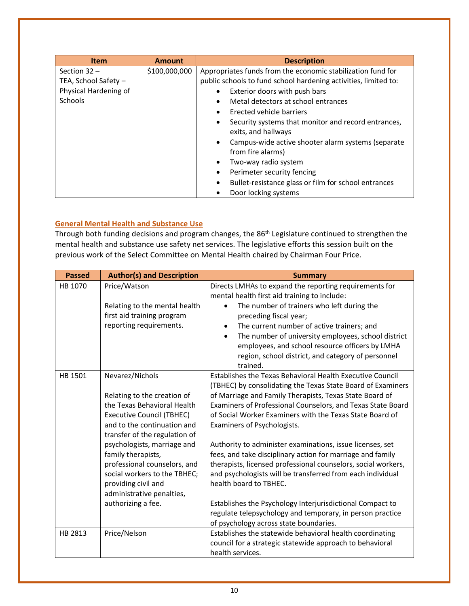| <b>Item</b>           | <b>Amount</b> | <b>Description</b>                                                                      |
|-----------------------|---------------|-----------------------------------------------------------------------------------------|
| Section $32 -$        | \$100,000,000 | Appropriates funds from the economic stabilization fund for                             |
| TEA, School Safety -  |               | public schools to fund school hardening activities, limited to:                         |
| Physical Hardening of |               | Exterior doors with push bars<br>$\bullet$                                              |
| Schools               |               | Metal detectors at school entrances<br>$\bullet$                                        |
|                       |               | Erected vehicle barriers<br>$\bullet$                                                   |
|                       |               | Security systems that monitor and record entrances,<br>$\bullet$<br>exits, and hallways |
|                       |               | Campus-wide active shooter alarm systems (separate<br>$\bullet$<br>from fire alarms)    |
|                       |               | Two-way radio system<br>$\bullet$                                                       |
|                       |               | Perimeter security fencing<br>٠                                                         |
|                       |               | Bullet-resistance glass or film for school entrances<br>٠                               |
|                       |               | Door locking systems                                                                    |

### **General Mental Health and Substance Use**

Through both funding decisions and program changes, the 86<sup>th</sup> Legislature continued to strengthen the mental health and substance use safety net services. The legislative efforts this session built on the previous work of the Select Committee on Mental Health chaired by Chairman Four Price.

| <b>Passed</b> | <b>Author(s) and Description</b>                                                                                                                                                                                                                                                                                                                                                 | <b>Summary</b>                                                                                                                                                                                                                                                                                                                                                                                                                                                                                                                                                                                                                                                                                                                                                                                        |
|---------------|----------------------------------------------------------------------------------------------------------------------------------------------------------------------------------------------------------------------------------------------------------------------------------------------------------------------------------------------------------------------------------|-------------------------------------------------------------------------------------------------------------------------------------------------------------------------------------------------------------------------------------------------------------------------------------------------------------------------------------------------------------------------------------------------------------------------------------------------------------------------------------------------------------------------------------------------------------------------------------------------------------------------------------------------------------------------------------------------------------------------------------------------------------------------------------------------------|
| HB 1070       | Price/Watson<br>Relating to the mental health<br>first aid training program<br>reporting requirements.                                                                                                                                                                                                                                                                           | Directs LMHAs to expand the reporting requirements for<br>mental health first aid training to include:<br>The number of trainers who left during the<br>preceding fiscal year;<br>The current number of active trainers; and<br>The number of university employees, school district<br>$\bullet$<br>employees, and school resource officers by LMHA<br>region, school district, and category of personnel<br>trained.                                                                                                                                                                                                                                                                                                                                                                                 |
| HB 1501       | Nevarez/Nichols<br>Relating to the creation of<br>the Texas Behavioral Health<br><b>Executive Council (TBHEC)</b><br>and to the continuation and<br>transfer of the regulation of<br>psychologists, marriage and<br>family therapists,<br>professional counselors, and<br>social workers to the TBHEC;<br>providing civil and<br>administrative penalties,<br>authorizing a fee. | Establishes the Texas Behavioral Health Executive Council<br>(TBHEC) by consolidating the Texas State Board of Examiners<br>of Marriage and Family Therapists, Texas State Board of<br>Examiners of Professional Counselors, and Texas State Board<br>of Social Worker Examiners with the Texas State Board of<br>Examiners of Psychologists.<br>Authority to administer examinations, issue licenses, set<br>fees, and take disciplinary action for marriage and family<br>therapists, licensed professional counselors, social workers,<br>and psychologists will be transferred from each individual<br>health board to TBHEC.<br>Establishes the Psychology Interjurisdictional Compact to<br>regulate telepsychology and temporary, in person practice<br>of psychology across state boundaries. |
| HB 2813       | Price/Nelson                                                                                                                                                                                                                                                                                                                                                                     | Establishes the statewide behavioral health coordinating<br>council for a strategic statewide approach to behavioral<br>health services.                                                                                                                                                                                                                                                                                                                                                                                                                                                                                                                                                                                                                                                              |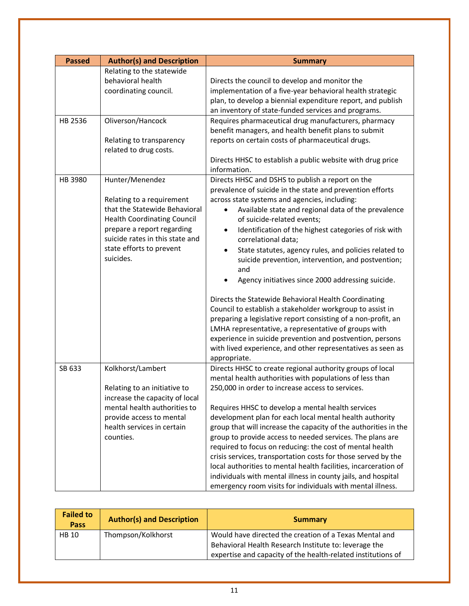| <b>Passed</b> | <b>Author(s) and Description</b>                                                                                                                                                                           | <b>Summary</b>                                                                                                                                                                                                                                                                                                                                                                                                                                                                                                                                                                                                                                                                                                                                                                                                                                                                 |
|---------------|------------------------------------------------------------------------------------------------------------------------------------------------------------------------------------------------------------|--------------------------------------------------------------------------------------------------------------------------------------------------------------------------------------------------------------------------------------------------------------------------------------------------------------------------------------------------------------------------------------------------------------------------------------------------------------------------------------------------------------------------------------------------------------------------------------------------------------------------------------------------------------------------------------------------------------------------------------------------------------------------------------------------------------------------------------------------------------------------------|
| HB 2536       | Relating to the statewide<br>behavioral health<br>coordinating council.<br>Oliverson/Hancock<br>Relating to transparency<br>related to drug costs.                                                         | Directs the council to develop and monitor the<br>implementation of a five-year behavioral health strategic<br>plan, to develop a biennial expenditure report, and publish<br>an inventory of state-funded services and programs.<br>Requires pharmaceutical drug manufacturers, pharmacy<br>benefit managers, and health benefit plans to submit<br>reports on certain costs of pharmaceutical drugs.<br>Directs HHSC to establish a public website with drug price                                                                                                                                                                                                                                                                                                                                                                                                           |
| HB 3980       | Hunter/Menendez                                                                                                                                                                                            | information.<br>Directs HHSC and DSHS to publish a report on the                                                                                                                                                                                                                                                                                                                                                                                                                                                                                                                                                                                                                                                                                                                                                                                                               |
|               | Relating to a requirement<br>that the Statewide Behavioral<br><b>Health Coordinating Council</b><br>prepare a report regarding<br>suicide rates in this state and<br>state efforts to prevent<br>suicides. | prevalence of suicide in the state and prevention efforts<br>across state systems and agencies, including:<br>Available state and regional data of the prevalence<br>of suicide-related events;<br>Identification of the highest categories of risk with<br>$\bullet$<br>correlational data;<br>State statutes, agency rules, and policies related to<br>$\bullet$<br>suicide prevention, intervention, and postvention;<br>and<br>Agency initiatives since 2000 addressing suicide.<br>Directs the Statewide Behavioral Health Coordinating<br>Council to establish a stakeholder workgroup to assist in<br>preparing a legislative report consisting of a non-profit, an<br>LMHA representative, a representative of groups with<br>experience in suicide prevention and postvention, persons<br>with lived experience, and other representatives as seen as<br>appropriate. |
| SB 633        | Kolkhorst/Lambert<br>Relating to an initiative to<br>increase the capacity of local<br>mental health authorities to<br>provide access to mental<br>health services in certain<br>counties.                 | Directs HHSC to create regional authority groups of local<br>mental health authorities with populations of less than<br>250,000 in order to increase access to services.<br>Requires HHSC to develop a mental health services<br>development plan for each local mental health authority<br>group that will increase the capacity of the authorities in the<br>group to provide access to needed services. The plans are<br>required to focus on reducing: the cost of mental health<br>crisis services, transportation costs for those served by the<br>local authorities to mental health facilities, incarceration of<br>individuals with mental illness in county jails, and hospital<br>emergency room visits for individuals with mental illness.                                                                                                                        |

| <b>Failed to</b><br><b>Pass</b> | <b>Author(s) and Description</b> | <b>Summary</b>                                                                                                                                                                  |
|---------------------------------|----------------------------------|---------------------------------------------------------------------------------------------------------------------------------------------------------------------------------|
| <b>HB 10</b>                    | Thompson/Kolkhorst               | Would have directed the creation of a Texas Mental and<br>Behavioral Health Research Institute to: leverage the<br>expertise and capacity of the health-related institutions of |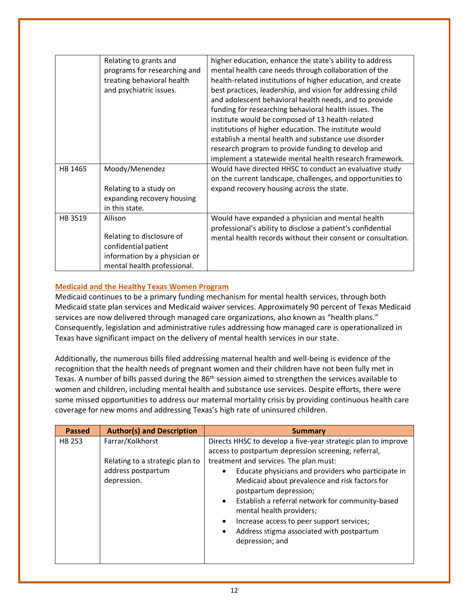|         | Relating to grants and<br>programs for researching and<br>treating behavioral health<br>and psychiatric issues.              | higher education, enhance the state's ability to address<br>mental health care needs through collaboration of the<br>health-related institutions of higher education, and create<br>best practices, leadership, and vision for addressing child<br>and adolescent behavioral health needs, and to provide<br>funding for researching behavioral health issues. The<br>institute would be composed of 13 health-related<br>institutions of higher education. The institute would<br>establish a mental health and substance use disorder<br>research program to provide funding to develop and<br>implement a statewide mental health research framework. |
|---------|------------------------------------------------------------------------------------------------------------------------------|----------------------------------------------------------------------------------------------------------------------------------------------------------------------------------------------------------------------------------------------------------------------------------------------------------------------------------------------------------------------------------------------------------------------------------------------------------------------------------------------------------------------------------------------------------------------------------------------------------------------------------------------------------|
| HB 1465 | Moody/Menendez<br>Relating to a study on<br>expanding recovery housing<br>in this state.                                     | Would have directed HHSC to conduct an evaluative study<br>on the current landscape, challenges, and opportunities to<br>expand recovery housing across the state.                                                                                                                                                                                                                                                                                                                                                                                                                                                                                       |
| HB 3519 | Allison<br>Relating to disclosure of<br>confidential patient<br>information by a physician or<br>mental health professional. | Would have expanded a physician and mental health<br>professional's ability to disclose a patient's confidential<br>mental health records without their consent or consultation.                                                                                                                                                                                                                                                                                                                                                                                                                                                                         |

### **Medicaid and the Healthy Texas Women Program**

Medicaid continues to be a primary funding mechanism for mental health services, through both Medicaid state plan services and Medicaid waiver services. Approximately 90 percent of Texas Medicaid services are now delivered through managed care organizations, also known as "health plans." Consequently, legislation and administrative rules addressing how managed care is operationalized in Texas have significant impact on the delivery of mental health services in our state.

Additionally, the numerous bills filed addressing maternal health and well-being is evidence of the recognition that the health needs of pregnant women and their children have not been fully met in Texas. A number of bills passed during the 86<sup>th</sup> session aimed to strengthen the services available to women and children, including mental health and substance use services. Despite efforts, there were some missed opportunities to address our maternal mortality crisis by providing continuous health care coverage for new moms and addressing Texas's high rate of uninsured children.

| <b>Passed</b> | <b>Author(s) and Description</b>                                                         | <b>Summary</b>                                                                                                                                                                                                                                                                                                                                                                                                                                                                                                                              |
|---------------|------------------------------------------------------------------------------------------|---------------------------------------------------------------------------------------------------------------------------------------------------------------------------------------------------------------------------------------------------------------------------------------------------------------------------------------------------------------------------------------------------------------------------------------------------------------------------------------------------------------------------------------------|
| HB 253        | Farrar/Kolkhorst<br>Relating to a strategic plan to<br>address postpartum<br>depression. | Directs HHSC to develop a five-year strategic plan to improve<br>access to postpartum depression screening, referral,<br>treatment and services. The plan must:<br>Educate physicians and providers who participate in<br>$\bullet$<br>Medicaid about prevalence and risk factors for<br>postpartum depression;<br>Establish a referral network for community-based<br>$\bullet$<br>mental health providers;<br>Increase access to peer support services;<br>٠<br>Address stigma associated with postpartum<br>$\bullet$<br>depression; and |
|               |                                                                                          |                                                                                                                                                                                                                                                                                                                                                                                                                                                                                                                                             |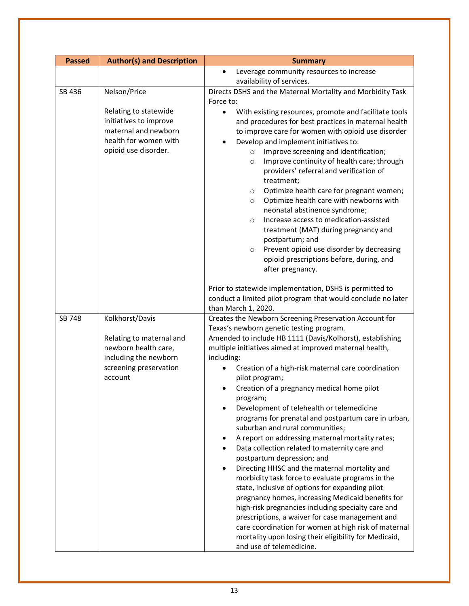| <b>Passed</b> | <b>Author(s) and Description</b>                                                                                         | <b>Summary</b>                                                                                                                                                                                                                                                                                                                                                                                                                                                                                                                                                                                                                                                                                                                                                                                                                                                                                                                                                                                                                 |
|---------------|--------------------------------------------------------------------------------------------------------------------------|--------------------------------------------------------------------------------------------------------------------------------------------------------------------------------------------------------------------------------------------------------------------------------------------------------------------------------------------------------------------------------------------------------------------------------------------------------------------------------------------------------------------------------------------------------------------------------------------------------------------------------------------------------------------------------------------------------------------------------------------------------------------------------------------------------------------------------------------------------------------------------------------------------------------------------------------------------------------------------------------------------------------------------|
|               |                                                                                                                          | Leverage community resources to increase                                                                                                                                                                                                                                                                                                                                                                                                                                                                                                                                                                                                                                                                                                                                                                                                                                                                                                                                                                                       |
|               |                                                                                                                          | availability of services.                                                                                                                                                                                                                                                                                                                                                                                                                                                                                                                                                                                                                                                                                                                                                                                                                                                                                                                                                                                                      |
| SB 436        | Nelson/Price                                                                                                             | Directs DSHS and the Maternal Mortality and Morbidity Task<br>Force to:                                                                                                                                                                                                                                                                                                                                                                                                                                                                                                                                                                                                                                                                                                                                                                                                                                                                                                                                                        |
|               | Relating to statewide<br>initiatives to improve<br>maternal and newborn<br>health for women with<br>opioid use disorder. | With existing resources, promote and facilitate tools<br>$\bullet$<br>and procedures for best practices in maternal health<br>to improve care for women with opioid use disorder<br>Develop and implement initiatives to:<br>Improve screening and identification;<br>$\circ$<br>Improve continuity of health care; through<br>$\circ$<br>providers' referral and verification of<br>treatment;<br>Optimize health care for pregnant women;<br>$\circ$<br>Optimize health care with newborns with<br>$\circ$<br>neonatal abstinence syndrome;<br>Increase access to medication-assisted<br>$\circ$<br>treatment (MAT) during pregnancy and<br>postpartum; and<br>Prevent opioid use disorder by decreasing<br>$\circ$<br>opioid prescriptions before, during, and<br>after pregnancy.                                                                                                                                                                                                                                          |
|               |                                                                                                                          | Prior to statewide implementation, DSHS is permitted to<br>conduct a limited pilot program that would conclude no later<br>than March 1, 2020.                                                                                                                                                                                                                                                                                                                                                                                                                                                                                                                                                                                                                                                                                                                                                                                                                                                                                 |
| SB 748        | Kolkhorst/Davis                                                                                                          | Creates the Newborn Screening Preservation Account for<br>Texas's newborn genetic testing program.                                                                                                                                                                                                                                                                                                                                                                                                                                                                                                                                                                                                                                                                                                                                                                                                                                                                                                                             |
|               | Relating to maternal and<br>newborn health care,<br>including the newborn<br>screening preservation<br>account           | Amended to include HB 1111 (Davis/Kolhorst), establishing<br>multiple initiatives aimed at improved maternal health,<br>including:<br>Creation of a high-risk maternal care coordination<br>pilot program;<br>Creation of a pregnancy medical home pilot<br>program;<br>Development of telehealth or telemedicine<br>programs for prenatal and postpartum care in urban,<br>suburban and rural communities;<br>A report on addressing maternal mortality rates;<br>Data collection related to maternity care and<br>postpartum depression; and<br>Directing HHSC and the maternal mortality and<br>$\bullet$<br>morbidity task force to evaluate programs in the<br>state, inclusive of options for expanding pilot<br>pregnancy homes, increasing Medicaid benefits for<br>high-risk pregnancies including specialty care and<br>prescriptions, a waiver for case management and<br>care coordination for women at high risk of maternal<br>mortality upon losing their eligibility for Medicaid,<br>and use of telemedicine. |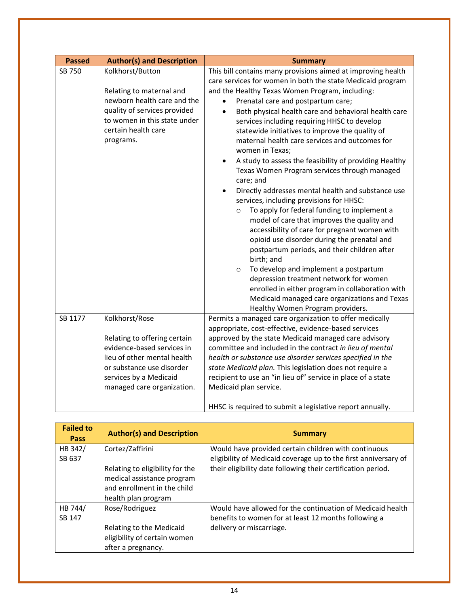|         |                                                                                                                                                                                                  | <b>Summary</b>                                                                                                                                                                                                                                                                                                                                                                                                                                                                                                                                                                                                                                                                                                                                                                                                                                                                                                                                                                                                                                                                                                                                                                             |
|---------|--------------------------------------------------------------------------------------------------------------------------------------------------------------------------------------------------|--------------------------------------------------------------------------------------------------------------------------------------------------------------------------------------------------------------------------------------------------------------------------------------------------------------------------------------------------------------------------------------------------------------------------------------------------------------------------------------------------------------------------------------------------------------------------------------------------------------------------------------------------------------------------------------------------------------------------------------------------------------------------------------------------------------------------------------------------------------------------------------------------------------------------------------------------------------------------------------------------------------------------------------------------------------------------------------------------------------------------------------------------------------------------------------------|
| SB 750  | Kolkhorst/Button<br>Relating to maternal and<br>newborn health care and the<br>quality of services provided<br>to women in this state under<br>certain health care<br>programs.                  | This bill contains many provisions aimed at improving health<br>care services for women in both the state Medicaid program<br>and the Healthy Texas Women Program, including:<br>Prenatal care and postpartum care;<br>Both physical health care and behavioral health care<br>services including requiring HHSC to develop<br>statewide initiatives to improve the quality of<br>maternal health care services and outcomes for<br>women in Texas;<br>A study to assess the feasibility of providing Healthy<br>Texas Women Program services through managed<br>care; and<br>Directly addresses mental health and substance use<br>services, including provisions for HHSC:<br>To apply for federal funding to implement a<br>$\circ$<br>model of care that improves the quality and<br>accessibility of care for pregnant women with<br>opioid use disorder during the prenatal and<br>postpartum periods, and their children after<br>birth; and<br>To develop and implement a postpartum<br>$\circ$<br>depression treatment network for women<br>enrolled in either program in collaboration with<br>Medicaid managed care organizations and Texas<br>Healthy Women Program providers. |
| SB 1177 | Kolkhorst/Rose<br>Relating to offering certain<br>evidence-based services in<br>lieu of other mental health<br>or substance use disorder<br>services by a Medicaid<br>managed care organization. | Permits a managed care organization to offer medically<br>appropriate, cost-effective, evidence-based services<br>approved by the state Medicaid managed care advisory<br>committee and included in the contract in lieu of mental<br>health or substance use disorder services specified in the<br>state Medicaid plan. This legislation does not require a<br>recipient to use an "in lieu of" service in place of a state<br>Medicaid plan service.<br>HHSC is required to submit a legislative report annually.                                                                                                                                                                                                                                                                                                                                                                                                                                                                                                                                                                                                                                                                        |

| <b>Failed to</b><br><b>Pass</b> | <b>Author(s) and Description</b> | <b>Summary</b>                                                  |
|---------------------------------|----------------------------------|-----------------------------------------------------------------|
| HB 342/                         | Cortez/Zaffirini                 | Would have provided certain children with continuous            |
| SB 637                          |                                  | eligibility of Medicaid coverage up to the first anniversary of |
|                                 | Relating to eligibility for the  | their eligibility date following their certification period.    |
|                                 | medical assistance program       |                                                                 |
|                                 | and enrollment in the child      |                                                                 |
|                                 | health plan program              |                                                                 |
| HB 744/                         | Rose/Rodriguez                   | Would have allowed for the continuation of Medicaid health      |
| SB 147                          |                                  | benefits to women for at least 12 months following a            |
|                                 | Relating to the Medicaid         | delivery or miscarriage.                                        |
|                                 | eligibility of certain women     |                                                                 |
|                                 | after a pregnancy.               |                                                                 |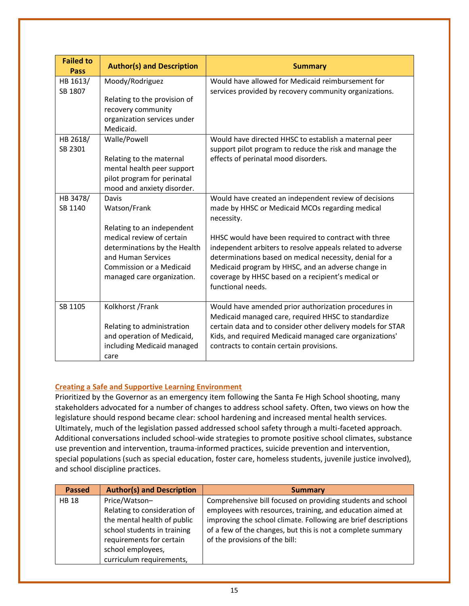| <b>Failed to</b><br>Pass | <b>Author(s) and Description</b>                                                                                                                                                                 | <b>Summary</b>                                                                                                                                                                                                                                                                                                                                                                                                                           |
|--------------------------|--------------------------------------------------------------------------------------------------------------------------------------------------------------------------------------------------|------------------------------------------------------------------------------------------------------------------------------------------------------------------------------------------------------------------------------------------------------------------------------------------------------------------------------------------------------------------------------------------------------------------------------------------|
| HB 1613/<br>SB 1807      | Moody/Rodriguez<br>Relating to the provision of<br>recovery community<br>organization services under<br>Medicaid.                                                                                | Would have allowed for Medicaid reimbursement for<br>services provided by recovery community organizations.                                                                                                                                                                                                                                                                                                                              |
| HB 2618/<br>SB 2301      | Walle/Powell<br>Relating to the maternal<br>mental health peer support<br>pilot program for perinatal<br>mood and anxiety disorder.                                                              | Would have directed HHSC to establish a maternal peer<br>support pilot program to reduce the risk and manage the<br>effects of perinatal mood disorders.                                                                                                                                                                                                                                                                                 |
| HB 3478/<br>SB 1140      | Davis<br>Watson/Frank<br>Relating to an independent<br>medical review of certain<br>determinations by the Health<br>and Human Services<br>Commission or a Medicaid<br>managed care organization. | Would have created an independent review of decisions<br>made by HHSC or Medicaid MCOs regarding medical<br>necessity.<br>HHSC would have been required to contract with three<br>independent arbiters to resolve appeals related to adverse<br>determinations based on medical necessity, denial for a<br>Medicaid program by HHSC, and an adverse change in<br>coverage by HHSC based on a recipient's medical or<br>functional needs. |
| SB 1105                  | Kolkhorst / Frank<br>Relating to administration<br>and operation of Medicaid,<br>including Medicaid managed<br>care                                                                              | Would have amended prior authorization procedures in<br>Medicaid managed care, required HHSC to standardize<br>certain data and to consider other delivery models for STAR<br>Kids, and required Medicaid managed care organizations'<br>contracts to contain certain provisions.                                                                                                                                                        |

### **Creating a Safe and Supportive Learning Environment**

Prioritized by the Governor as an emergency item following the Santa Fe High School shooting, many stakeholders advocated for a number of changes to address school safety. Often, two views on how the legislature should respond became clear: school hardening and increased mental health services. Ultimately, much of the legislation passed addressed school safety through a multi-faceted approach. Additional conversations included school-wide strategies to promote positive school climates, substance use prevention and intervention, trauma-informed practices, suicide prevention and intervention, special populations (such as special education, foster care, homeless students, juvenile justice involved), and school discipline practices.

| <b>Passed</b> | <b>Author(s) and Description</b>                                                                                                                                                         | <b>Summary</b>                                                                                                                                                                                                                                                                               |
|---------------|------------------------------------------------------------------------------------------------------------------------------------------------------------------------------------------|----------------------------------------------------------------------------------------------------------------------------------------------------------------------------------------------------------------------------------------------------------------------------------------------|
| <b>HB 18</b>  | Price/Watson-<br>Relating to consideration of<br>the mental health of public<br>school students in training<br>requirements for certain<br>school employees,<br>curriculum requirements, | Comprehensive bill focused on providing students and school<br>employees with resources, training, and education aimed at<br>improving the school climate. Following are brief descriptions<br>of a few of the changes, but this is not a complete summary<br>of the provisions of the bill: |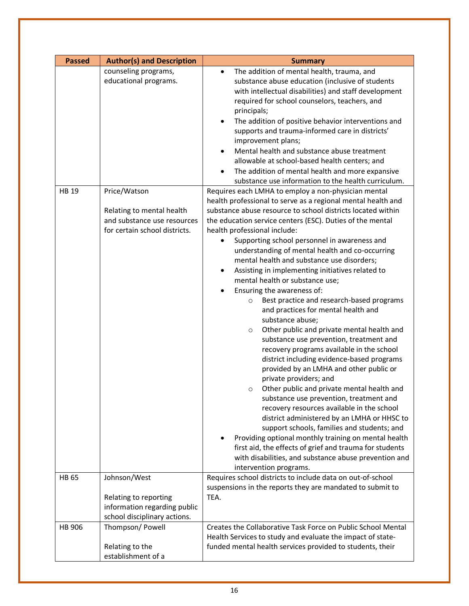| <b>Passed</b> | <b>Author(s) and Description</b>                                                          | <b>Summary</b>                                                                                                                                                                                                                                                                                                                                                                                                                                                                                                                                                                                                                                                                                                                                                                                                                                                                                                                                                                                                                                                                                                                                                                                                                                                                                                         |
|---------------|-------------------------------------------------------------------------------------------|------------------------------------------------------------------------------------------------------------------------------------------------------------------------------------------------------------------------------------------------------------------------------------------------------------------------------------------------------------------------------------------------------------------------------------------------------------------------------------------------------------------------------------------------------------------------------------------------------------------------------------------------------------------------------------------------------------------------------------------------------------------------------------------------------------------------------------------------------------------------------------------------------------------------------------------------------------------------------------------------------------------------------------------------------------------------------------------------------------------------------------------------------------------------------------------------------------------------------------------------------------------------------------------------------------------------|
| <b>HB 19</b>  | counseling programs,<br>educational programs.<br>Price/Watson                             | The addition of mental health, trauma, and<br>$\bullet$<br>substance abuse education (inclusive of students<br>with intellectual disabilities) and staff development<br>required for school counselors, teachers, and<br>principals;<br>The addition of positive behavior interventions and<br>supports and trauma-informed care in districts'<br>improvement plans;<br>Mental health and substance abuse treatment<br>allowable at school-based health centers; and<br>The addition of mental health and more expansive<br>substance use information to the health curriculum.<br>Requires each LMHA to employ a non-physician mental                                                                                                                                                                                                                                                                                                                                                                                                                                                                                                                                                                                                                                                                                 |
|               | Relating to mental health<br>and substance use resources<br>for certain school districts. | health professional to serve as a regional mental health and<br>substance abuse resource to school districts located within<br>the education service centers (ESC). Duties of the mental<br>health professional include:<br>Supporting school personnel in awareness and<br>understanding of mental health and co-occurring<br>mental health and substance use disorders;<br>Assisting in implementing initiatives related to<br>٠<br>mental health or substance use;<br>Ensuring the awareness of:<br>Best practice and research-based programs<br>$\circ$<br>and practices for mental health and<br>substance abuse;<br>Other public and private mental health and<br>$\circ$<br>substance use prevention, treatment and<br>recovery programs available in the school<br>district including evidence-based programs<br>provided by an LMHA and other public or<br>private providers; and<br>Other public and private mental health and<br>$\circ$<br>substance use prevention, treatment and<br>recovery resources available in the school<br>district administered by an LMHA or HHSC to<br>support schools, families and students; and<br>Providing optional monthly training on mental health<br>first aid, the effects of grief and trauma for students<br>with disabilities, and substance abuse prevention and |
| <b>HB 65</b>  | Johnson/West<br>Relating to reporting                                                     | intervention programs.<br>Requires school districts to include data on out-of-school<br>suspensions in the reports they are mandated to submit to<br>TEA.                                                                                                                                                                                                                                                                                                                                                                                                                                                                                                                                                                                                                                                                                                                                                                                                                                                                                                                                                                                                                                                                                                                                                              |
|               | information regarding public<br>school disciplinary actions.                              |                                                                                                                                                                                                                                                                                                                                                                                                                                                                                                                                                                                                                                                                                                                                                                                                                                                                                                                                                                                                                                                                                                                                                                                                                                                                                                                        |
| HB 906        | Thompson/ Powell<br>Relating to the<br>establishment of a                                 | Creates the Collaborative Task Force on Public School Mental<br>Health Services to study and evaluate the impact of state-<br>funded mental health services provided to students, their                                                                                                                                                                                                                                                                                                                                                                                                                                                                                                                                                                                                                                                                                                                                                                                                                                                                                                                                                                                                                                                                                                                                |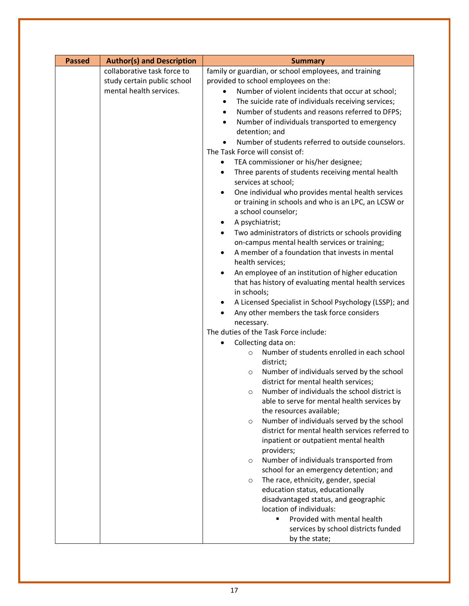| <b>Passed</b> | <b>Author(s) and Description</b> | <b>Summary</b>                                                                                                |
|---------------|----------------------------------|---------------------------------------------------------------------------------------------------------------|
|               | collaborative task force to      | family or guardian, or school employees, and training                                                         |
|               | study certain public school      | provided to school employees on the:                                                                          |
|               | mental health services.          | Number of violent incidents that occur at school;<br>$\bullet$                                                |
|               |                                  | The suicide rate of individuals receiving services;<br>$\bullet$                                              |
|               |                                  | Number of students and reasons referred to DFPS;<br>$\bullet$                                                 |
|               |                                  | Number of individuals transported to emergency                                                                |
|               |                                  | detention; and                                                                                                |
|               |                                  | Number of students referred to outside counselors.                                                            |
|               |                                  | The Task Force will consist of:                                                                               |
|               |                                  | TEA commissioner or his/her designee;<br>٠                                                                    |
|               |                                  | Three parents of students receiving mental health<br>٠                                                        |
|               |                                  | services at school;                                                                                           |
|               |                                  | One individual who provides mental health services<br>$\bullet$                                               |
|               |                                  | or training in schools and who is an LPC, an LCSW or                                                          |
|               |                                  | a school counselor;                                                                                           |
|               |                                  | A psychiatrist;                                                                                               |
|               |                                  | Two administrators of districts or schools providing                                                          |
|               |                                  | on-campus mental health services or training;<br>A member of a foundation that invests in mental<br>$\bullet$ |
|               |                                  | health services;                                                                                              |
|               |                                  | An employee of an institution of higher education                                                             |
|               |                                  | that has history of evaluating mental health services                                                         |
|               |                                  | in schools;                                                                                                   |
|               |                                  | A Licensed Specialist in School Psychology (LSSP); and<br>٠                                                   |
|               |                                  | Any other members the task force considers                                                                    |
|               |                                  | necessary.                                                                                                    |
|               |                                  | The duties of the Task Force include:                                                                         |
|               |                                  | Collecting data on:                                                                                           |
|               |                                  | Number of students enrolled in each school<br>$\circ$                                                         |
|               |                                  | district;                                                                                                     |
|               |                                  | Number of individuals served by the school<br>$\circ$                                                         |
|               |                                  | district for mental health services;                                                                          |
|               |                                  | Number of individuals the school district is<br>$\circ$                                                       |
|               |                                  | able to serve for mental health services by                                                                   |
|               |                                  | the resources available;                                                                                      |
|               |                                  | Number of individuals served by the school<br>$\circ$                                                         |
|               |                                  | district for mental health services referred to                                                               |
|               |                                  | inpatient or outpatient mental health<br>providers;                                                           |
|               |                                  | Number of individuals transported from                                                                        |
|               |                                  | $\circ$<br>school for an emergency detention; and                                                             |
|               |                                  | The race, ethnicity, gender, special<br>$\circ$                                                               |
|               |                                  | education status, educationally                                                                               |
|               |                                  | disadvantaged status, and geographic                                                                          |
|               |                                  | location of individuals:                                                                                      |
|               |                                  | Provided with mental health<br>٠                                                                              |
|               |                                  | services by school districts funded                                                                           |
|               |                                  | by the state;                                                                                                 |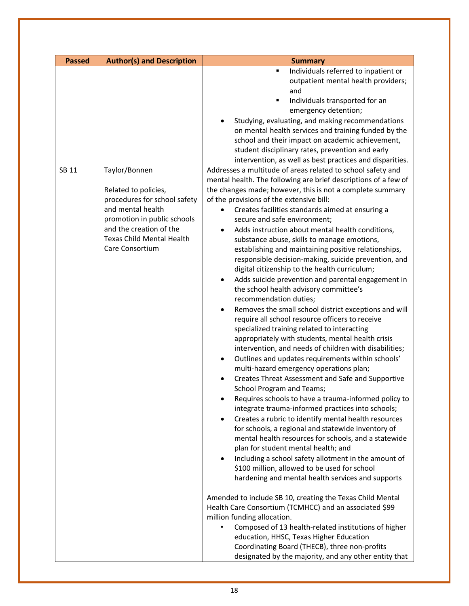| <b>Passed</b> | <b>Author(s) and Description</b>                                                                                                                                                           | <b>Summary</b>                                                                                                                                                                                                                                                                                                                                                                                                                                                                                                                                                                                                                                                                                                                                                                                                                                                                                                                                                                                                                                                                                                                                                                                                                                                                                                                                                                                                                                                                                                                                                                                                                                    |
|---------------|--------------------------------------------------------------------------------------------------------------------------------------------------------------------------------------------|---------------------------------------------------------------------------------------------------------------------------------------------------------------------------------------------------------------------------------------------------------------------------------------------------------------------------------------------------------------------------------------------------------------------------------------------------------------------------------------------------------------------------------------------------------------------------------------------------------------------------------------------------------------------------------------------------------------------------------------------------------------------------------------------------------------------------------------------------------------------------------------------------------------------------------------------------------------------------------------------------------------------------------------------------------------------------------------------------------------------------------------------------------------------------------------------------------------------------------------------------------------------------------------------------------------------------------------------------------------------------------------------------------------------------------------------------------------------------------------------------------------------------------------------------------------------------------------------------------------------------------------------------|
| SB 11         | Taylor/Bonnen                                                                                                                                                                              | Individuals referred to inpatient or<br>п<br>outpatient mental health providers;<br>and<br>Individuals transported for an<br>п<br>emergency detention;<br>Studying, evaluating, and making recommendations<br>on mental health services and training funded by the<br>school and their impact on academic achievement,<br>student disciplinary rates, prevention and early<br>intervention, as well as best practices and disparities.<br>Addresses a multitude of areas related to school safety and                                                                                                                                                                                                                                                                                                                                                                                                                                                                                                                                                                                                                                                                                                                                                                                                                                                                                                                                                                                                                                                                                                                                             |
|               | Related to policies,<br>procedures for school safety<br>and mental health<br>promotion in public schools<br>and the creation of the<br><b>Texas Child Mental Health</b><br>Care Consortium | mental health. The following are brief descriptions of a few of<br>the changes made; however, this is not a complete summary<br>of the provisions of the extensive bill:<br>Creates facilities standards aimed at ensuring a<br>$\bullet$<br>secure and safe environment;<br>Adds instruction about mental health conditions,<br>٠<br>substance abuse, skills to manage emotions,<br>establishing and maintaining positive relationships,<br>responsible decision-making, suicide prevention, and<br>digital citizenship to the health curriculum;<br>Adds suicide prevention and parental engagement in<br>the school health advisory committee's<br>recommendation duties;<br>Removes the small school district exceptions and will<br>require all school resource officers to receive<br>specialized training related to interacting<br>appropriately with students, mental health crisis<br>intervention, and needs of children with disabilities;<br>Outlines and updates requirements within schools'<br>multi-hazard emergency operations plan;<br>Creates Threat Assessment and Safe and Supportive<br>School Program and Teams;<br>Requires schools to have a trauma-informed policy to<br>integrate trauma-informed practices into schools;<br>Creates a rubric to identify mental health resources<br>$\bullet$<br>for schools, a regional and statewide inventory of<br>mental health resources for schools, and a statewide<br>plan for student mental health; and<br>Including a school safety allotment in the amount of<br>٠<br>\$100 million, allowed to be used for school<br>hardening and mental health services and supports |
|               |                                                                                                                                                                                            | Amended to include SB 10, creating the Texas Child Mental<br>Health Care Consortium (TCMHCC) and an associated \$99<br>million funding allocation.<br>Composed of 13 health-related institutions of higher<br>education, HHSC, Texas Higher Education<br>Coordinating Board (THECB), three non-profits<br>designated by the majority, and any other entity that                                                                                                                                                                                                                                                                                                                                                                                                                                                                                                                                                                                                                                                                                                                                                                                                                                                                                                                                                                                                                                                                                                                                                                                                                                                                                   |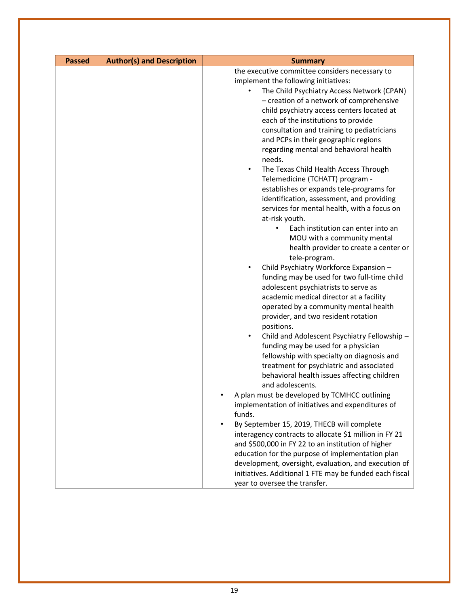| <b>Passed</b> | <b>Author(s) and Description</b> | <b>Summary</b>                                            |
|---------------|----------------------------------|-----------------------------------------------------------|
|               |                                  | the executive committee considers necessary to            |
|               |                                  | implement the following initiatives:                      |
|               |                                  | The Child Psychiatry Access Network (CPAN)<br>$\bullet$   |
|               |                                  | - creation of a network of comprehensive                  |
|               |                                  | child psychiatry access centers located at                |
|               |                                  | each of the institutions to provide                       |
|               |                                  | consultation and training to pediatricians                |
|               |                                  | and PCPs in their geographic regions                      |
|               |                                  | regarding mental and behavioral health                    |
|               |                                  | needs.                                                    |
|               |                                  | The Texas Child Health Access Through<br>$\bullet$        |
|               |                                  | Telemedicine (TCHATT) program -                           |
|               |                                  | establishes or expands tele-programs for                  |
|               |                                  | identification, assessment, and providing                 |
|               |                                  | services for mental health, with a focus on               |
|               |                                  | at-risk youth.                                            |
|               |                                  | Each institution can enter into an                        |
|               |                                  | MOU with a community mental                               |
|               |                                  | health provider to create a center or                     |
|               |                                  | tele-program.                                             |
|               |                                  | Child Psychiatry Workforce Expansion -<br>$\bullet$       |
|               |                                  | funding may be used for two full-time child               |
|               |                                  | adolescent psychiatrists to serve as                      |
|               |                                  | academic medical director at a facility                   |
|               |                                  | operated by a community mental health                     |
|               |                                  | provider, and two resident rotation                       |
|               |                                  | positions.                                                |
|               |                                  | Child and Adolescent Psychiatry Fellowship -<br>$\bullet$ |
|               |                                  | funding may be used for a physician                       |
|               |                                  | fellowship with specialty on diagnosis and                |
|               |                                  | treatment for psychiatric and associated                  |
|               |                                  | behavioral health issues affecting children               |
|               |                                  | and adolescents.                                          |
|               |                                  | A plan must be developed by TCMHCC outlining              |
|               |                                  | implementation of initiatives and expenditures of         |
|               |                                  | funds.                                                    |
|               |                                  | By September 15, 2019, THECB will complete<br>٠           |
|               |                                  | interagency contracts to allocate \$1 million in FY 21    |
|               |                                  | and \$500,000 in FY 22 to an institution of higher        |
|               |                                  | education for the purpose of implementation plan          |
|               |                                  | development, oversight, evaluation, and execution of      |
|               |                                  | initiatives. Additional 1 FTE may be funded each fiscal   |
|               |                                  | year to oversee the transfer.                             |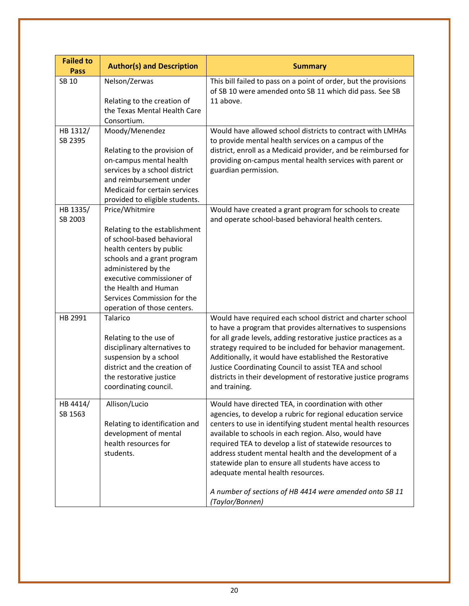| <b>Failed to</b><br><b>Pass</b> | <b>Author(s) and Description</b>                            | <b>Summary</b>                                                                                                                 |
|---------------------------------|-------------------------------------------------------------|--------------------------------------------------------------------------------------------------------------------------------|
| SB 10                           | Nelson/Zerwas                                               | This bill failed to pass on a point of order, but the provisions                                                               |
|                                 | Relating to the creation of                                 | of SB 10 were amended onto SB 11 which did pass. See SB<br>11 above.                                                           |
|                                 | the Texas Mental Health Care                                |                                                                                                                                |
|                                 | Consortium.                                                 |                                                                                                                                |
| HB 1312/                        | Moody/Menendez                                              | Would have allowed school districts to contract with LMHAs                                                                     |
| SB 2395                         | Relating to the provision of                                | to provide mental health services on a campus of the<br>district, enroll as a Medicaid provider, and be reimbursed for         |
|                                 | on-campus mental health                                     | providing on-campus mental health services with parent or                                                                      |
|                                 | services by a school district                               | guardian permission.                                                                                                           |
|                                 | and reimbursement under                                     |                                                                                                                                |
|                                 | Medicaid for certain services                               |                                                                                                                                |
|                                 | provided to eligible students.                              |                                                                                                                                |
| HB 1335/                        | Price/Whitmire                                              | Would have created a grant program for schools to create                                                                       |
| SB 2003                         |                                                             | and operate school-based behavioral health centers.                                                                            |
|                                 | Relating to the establishment<br>of school-based behavioral |                                                                                                                                |
|                                 | health centers by public                                    |                                                                                                                                |
|                                 | schools and a grant program                                 |                                                                                                                                |
|                                 | administered by the                                         |                                                                                                                                |
|                                 | executive commissioner of                                   |                                                                                                                                |
|                                 | the Health and Human                                        |                                                                                                                                |
|                                 | Services Commission for the                                 |                                                                                                                                |
|                                 | operation of those centers.                                 |                                                                                                                                |
| HB 2991                         | Talarico                                                    | Would have required each school district and charter school                                                                    |
|                                 | Relating to the use of                                      | to have a program that provides alternatives to suspensions<br>for all grade levels, adding restorative justice practices as a |
|                                 | disciplinary alternatives to                                | strategy required to be included for behavior management.                                                                      |
|                                 | suspension by a school                                      | Additionally, it would have established the Restorative                                                                        |
|                                 | district and the creation of                                | Justice Coordinating Council to assist TEA and school                                                                          |
|                                 | the restorative justice                                     | districts in their development of restorative justice programs                                                                 |
|                                 | coordinating council.                                       | and training.                                                                                                                  |
| HB 4414/                        | Allison/Lucio                                               | Would have directed TEA, in coordination with other                                                                            |
| SB 1563                         |                                                             | agencies, to develop a rubric for regional education service                                                                   |
|                                 | Relating to identification and                              | centers to use in identifying student mental health resources                                                                  |
|                                 | development of mental<br>health resources for               | available to schools in each region. Also, would have                                                                          |
|                                 | students.                                                   | required TEA to develop a list of statewide resources to<br>address student mental health and the development of a             |
|                                 |                                                             | statewide plan to ensure all students have access to                                                                           |
|                                 |                                                             | adequate mental health resources.                                                                                              |
|                                 |                                                             | A number of sections of HB 4414 were amended onto SB 11                                                                        |
|                                 |                                                             | (Taylor/Bonnen)                                                                                                                |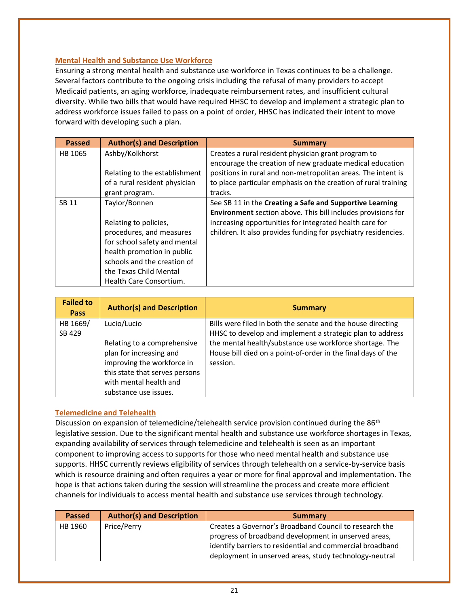### **Mental Health and Substance Use Workforce**

Ensuring a strong mental health and substance use workforce in Texas continues to be a challenge. Several factors contribute to the ongoing crisis including the refusal of many providers to accept Medicaid patients, an aging workforce, inadequate reimbursement rates, and insufficient cultural diversity. While two bills that would have required HHSC to develop and implement a strategic plan to address workforce issues failed to pass on a point of order, HHSC has indicated their intent to move forward with developing such a plan.

| <b>Passed</b> | <b>Author(s) and Description</b> | Summary                                                        |
|---------------|----------------------------------|----------------------------------------------------------------|
| HB 1065       | Ashby/Kolkhorst                  | Creates a rural resident physician grant program to            |
|               |                                  | encourage the creation of new graduate medical education       |
|               | Relating to the establishment    | positions in rural and non-metropolitan areas. The intent is   |
|               | of a rural resident physician    | to place particular emphasis on the creation of rural training |
|               | grant program.                   | tracks.                                                        |
| SB 11         | Taylor/Bonnen                    | See SB 11 in the Creating a Safe and Supportive Learning       |
|               |                                  | Environment section above. This bill includes provisions for   |
|               | Relating to policies,            | increasing opportunities for integrated health care for        |
|               | procedures, and measures         | children. It also provides funding for psychiatry residencies. |
|               | for school safety and mental     |                                                                |
|               | health promotion in public       |                                                                |
|               | schools and the creation of      |                                                                |
|               | the Texas Child Mental           |                                                                |
|               | Health Care Consortium.          |                                                                |

| <b>Failed to</b><br><b>Pass</b> | <b>Author(s) and Description</b> | <b>Summary</b>                                               |
|---------------------------------|----------------------------------|--------------------------------------------------------------|
| HB 1669/                        | Lucio/Lucio                      | Bills were filed in both the senate and the house directing  |
| SB 429                          |                                  | HHSC to develop and implement a strategic plan to address    |
|                                 | Relating to a comprehensive      | the mental health/substance use workforce shortage. The      |
|                                 | plan for increasing and          | House bill died on a point-of-order in the final days of the |
|                                 | improving the workforce in       | session.                                                     |
|                                 | this state that serves persons   |                                                              |
|                                 | with mental health and           |                                                              |
|                                 | substance use issues.            |                                                              |

### **Telemedicine and Telehealth**

Discussion on expansion of telemedicine/telehealth service provision continued during the 86<sup>th</sup> legislative session. Due to the significant mental health and substance use workforce shortages in Texas, expanding availability of services through telemedicine and telehealth is seen as an important component to improving access to supports for those who need mental health and substance use supports. HHSC currently reviews eligibility of services through telehealth on a service-by-service basis which is resource draining and often requires a year or more for final approval and implementation. The hope is that actions taken during the session will streamline the process and create more efficient channels for individuals to access mental health and substance use services through technology.

| <b>Passed</b> | <b>Author(s) and Description</b> | Summary                                                   |
|---------------|----------------------------------|-----------------------------------------------------------|
| HB 1960       | Price/Perry                      | Creates a Governor's Broadband Council to research the    |
|               |                                  | progress of broadband development in unserved areas,      |
|               |                                  | identify barriers to residential and commercial broadband |
|               |                                  | deployment in unserved areas, study technology-neutral    |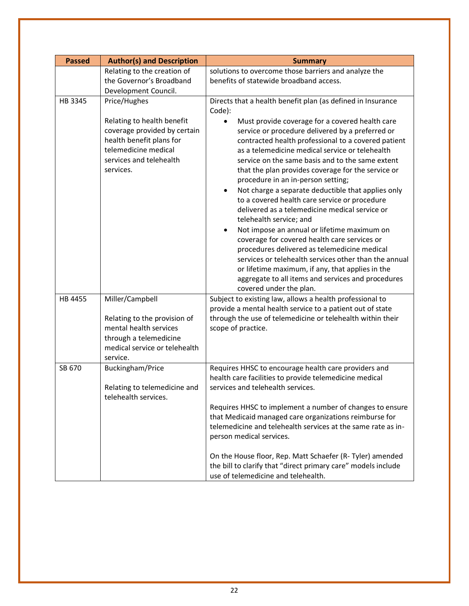| <b>Passed</b> | <b>Author(s) and Description</b>                                                                                                                       | <b>Summary</b>                                                                                                                                                                                                                                                                                                                                                                                                                                                                                                                                                                                                                                                                                                                                                                                                                                                                                              |
|---------------|--------------------------------------------------------------------------------------------------------------------------------------------------------|-------------------------------------------------------------------------------------------------------------------------------------------------------------------------------------------------------------------------------------------------------------------------------------------------------------------------------------------------------------------------------------------------------------------------------------------------------------------------------------------------------------------------------------------------------------------------------------------------------------------------------------------------------------------------------------------------------------------------------------------------------------------------------------------------------------------------------------------------------------------------------------------------------------|
|               | Relating to the creation of<br>the Governor's Broadband<br>Development Council.                                                                        | solutions to overcome those barriers and analyze the<br>benefits of statewide broadband access.                                                                                                                                                                                                                                                                                                                                                                                                                                                                                                                                                                                                                                                                                                                                                                                                             |
| HB 3345       | Price/Hughes                                                                                                                                           | Directs that a health benefit plan (as defined in Insurance<br>Code):                                                                                                                                                                                                                                                                                                                                                                                                                                                                                                                                                                                                                                                                                                                                                                                                                                       |
|               | Relating to health benefit<br>coverage provided by certain<br>health benefit plans for<br>telemedicine medical<br>services and telehealth<br>services. | Must provide coverage for a covered health care<br>service or procedure delivered by a preferred or<br>contracted health professional to a covered patient<br>as a telemedicine medical service or telehealth<br>service on the same basis and to the same extent<br>that the plan provides coverage for the service or<br>procedure in an in-person setting;<br>Not charge a separate deductible that applies only<br>to a covered health care service or procedure<br>delivered as a telemedicine medical service or<br>telehealth service; and<br>Not impose an annual or lifetime maximum on<br>$\bullet$<br>coverage for covered health care services or<br>procedures delivered as telemedicine medical<br>services or telehealth services other than the annual<br>or lifetime maximum, if any, that applies in the<br>aggregate to all items and services and procedures<br>covered under the plan. |
| HB 4455       | Miller/Campbell                                                                                                                                        | Subject to existing law, allows a health professional to<br>provide a mental health service to a patient out of state                                                                                                                                                                                                                                                                                                                                                                                                                                                                                                                                                                                                                                                                                                                                                                                       |
|               | Relating to the provision of<br>mental health services<br>through a telemedicine<br>medical service or telehealth<br>service.                          | through the use of telemedicine or telehealth within their<br>scope of practice.                                                                                                                                                                                                                                                                                                                                                                                                                                                                                                                                                                                                                                                                                                                                                                                                                            |
| SB 670        | Buckingham/Price<br>Relating to telemedicine and<br>telehealth services.                                                                               | Requires HHSC to encourage health care providers and<br>health care facilities to provide telemedicine medical<br>services and telehealth services.                                                                                                                                                                                                                                                                                                                                                                                                                                                                                                                                                                                                                                                                                                                                                         |
|               |                                                                                                                                                        | Requires HHSC to implement a number of changes to ensure<br>that Medicaid managed care organizations reimburse for<br>telemedicine and telehealth services at the same rate as in-<br>person medical services.                                                                                                                                                                                                                                                                                                                                                                                                                                                                                                                                                                                                                                                                                              |
|               |                                                                                                                                                        | On the House floor, Rep. Matt Schaefer (R- Tyler) amended<br>the bill to clarify that "direct primary care" models include<br>use of telemedicine and telehealth.                                                                                                                                                                                                                                                                                                                                                                                                                                                                                                                                                                                                                                                                                                                                           |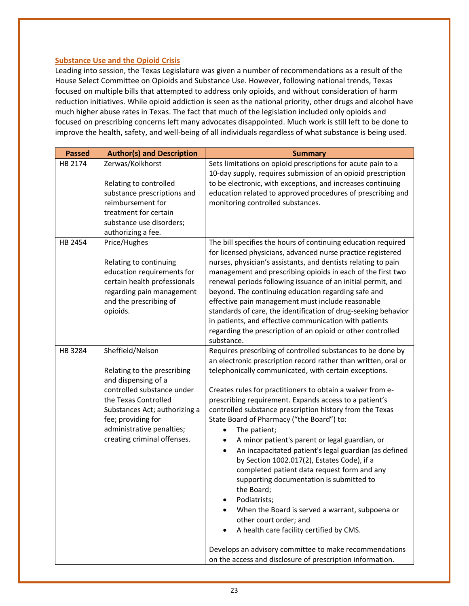#### **Substance Use and the Opioid Crisis**

Leading into session, the Texas Legislature was given a number of recommendations as a result of the House Select Committee on Opioids and Substance Use. However, following national trends, Texas focused on multiple bills that attempted to address only opioids, and without consideration of harm reduction initiatives. While opioid addiction is seen as the national priority, other drugs and alcohol have much higher abuse rates in Texas. The fact that much of the legislation included only opioids and focused on prescribing concerns left many advocates disappointed. Much work is still left to be done to improve the health, safety, and well-being of all individuals regardless of what substance is being used.

| <b>Passed</b> | <b>Author(s) and Description</b>                                                                                                                                                                                                                | <b>Summary</b>                                                                                                                                                                                                                                                                                                                                                                                                                                                                                                                                                                                                                                                                                                                                                                                                                                                                                                                                                                       |
|---------------|-------------------------------------------------------------------------------------------------------------------------------------------------------------------------------------------------------------------------------------------------|--------------------------------------------------------------------------------------------------------------------------------------------------------------------------------------------------------------------------------------------------------------------------------------------------------------------------------------------------------------------------------------------------------------------------------------------------------------------------------------------------------------------------------------------------------------------------------------------------------------------------------------------------------------------------------------------------------------------------------------------------------------------------------------------------------------------------------------------------------------------------------------------------------------------------------------------------------------------------------------|
| HB 2174       | Zerwas/Kolkhorst<br>Relating to controlled<br>substance prescriptions and<br>reimbursement for<br>treatment for certain<br>substance use disorders;<br>authorizing a fee.                                                                       | Sets limitations on opioid prescriptions for acute pain to a<br>10-day supply, requires submission of an opioid prescription<br>to be electronic, with exceptions, and increases continuing<br>education related to approved procedures of prescribing and<br>monitoring controlled substances.                                                                                                                                                                                                                                                                                                                                                                                                                                                                                                                                                                                                                                                                                      |
| HB 2454       | Price/Hughes<br>Relating to continuing<br>education requirements for<br>certain health professionals<br>regarding pain management<br>and the prescribing of<br>opioids.                                                                         | The bill specifies the hours of continuing education required<br>for licensed physicians, advanced nurse practice registered<br>nurses, physician's assistants, and dentists relating to pain<br>management and prescribing opioids in each of the first two<br>renewal periods following issuance of an initial permit, and<br>beyond. The continuing education regarding safe and<br>effective pain management must include reasonable<br>standards of care, the identification of drug-seeking behavior<br>in patients, and effective communication with patients<br>regarding the prescription of an opioid or other controlled<br>substance.                                                                                                                                                                                                                                                                                                                                    |
| HB 3284       | Sheffield/Nelson<br>Relating to the prescribing<br>and dispensing of a<br>controlled substance under<br>the Texas Controlled<br>Substances Act; authorizing a<br>fee; providing for<br>administrative penalties;<br>creating criminal offenses. | Requires prescribing of controlled substances to be done by<br>an electronic prescription record rather than written, oral or<br>telephonically communicated, with certain exceptions.<br>Creates rules for practitioners to obtain a waiver from e-<br>prescribing requirement. Expands access to a patient's<br>controlled substance prescription history from the Texas<br>State Board of Pharmacy ("the Board") to:<br>The patient;<br>٠<br>A minor patient's parent or legal guardian, or<br>An incapacitated patient's legal guardian (as defined<br>٠<br>by Section 1002.017(2), Estates Code), if a<br>completed patient data request form and any<br>supporting documentation is submitted to<br>the Board;<br>Podiatrists;<br>When the Board is served a warrant, subpoena or<br>other court order; and<br>A health care facility certified by CMS.<br>Develops an advisory committee to make recommendations<br>on the access and disclosure of prescription information. |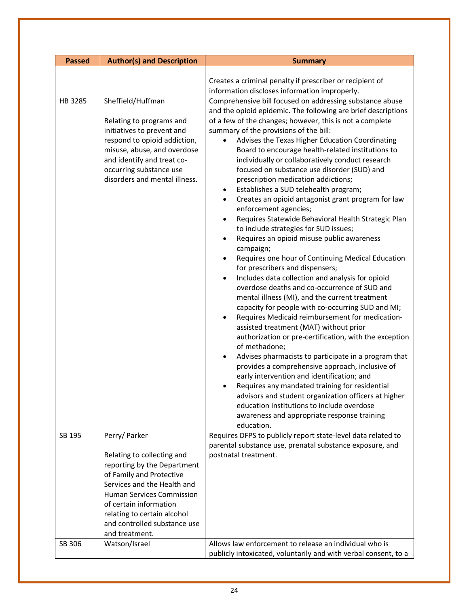| <b>Passed</b> | <b>Author(s) and Description</b>                                                                                                                                                                                                                                                    | <b>Summary</b>                                                                                                                                                                                                                                                                                                                                                                                                                                                                                                                                                                                                                                                                                                                                                                                                                                                                                                                                                                                                                                                                                                                                                                                                                                                                                                                                                                                                                                                                                                                                                                                                                                                                                                                                                                          |
|---------------|-------------------------------------------------------------------------------------------------------------------------------------------------------------------------------------------------------------------------------------------------------------------------------------|-----------------------------------------------------------------------------------------------------------------------------------------------------------------------------------------------------------------------------------------------------------------------------------------------------------------------------------------------------------------------------------------------------------------------------------------------------------------------------------------------------------------------------------------------------------------------------------------------------------------------------------------------------------------------------------------------------------------------------------------------------------------------------------------------------------------------------------------------------------------------------------------------------------------------------------------------------------------------------------------------------------------------------------------------------------------------------------------------------------------------------------------------------------------------------------------------------------------------------------------------------------------------------------------------------------------------------------------------------------------------------------------------------------------------------------------------------------------------------------------------------------------------------------------------------------------------------------------------------------------------------------------------------------------------------------------------------------------------------------------------------------------------------------------|
| HB 3285       | Sheffield/Huffman<br>Relating to programs and<br>initiatives to prevent and<br>respond to opioid addiction,<br>misuse, abuse, and overdose<br>and identify and treat co-<br>occurring substance use<br>disorders and mental illness.                                                | Creates a criminal penalty if prescriber or recipient of<br>information discloses information improperly.<br>Comprehensive bill focused on addressing substance abuse<br>and the opioid epidemic. The following are brief descriptions<br>of a few of the changes; however, this is not a complete<br>summary of the provisions of the bill:<br>Advises the Texas Higher Education Coordinating<br>Board to encourage health-related institutions to<br>individually or collaboratively conduct research<br>focused on substance use disorder (SUD) and<br>prescription medication addictions;<br>Establishes a SUD telehealth program;<br>٠<br>Creates an opioid antagonist grant program for law<br>٠<br>enforcement agencies;<br>Requires Statewide Behavioral Health Strategic Plan<br>$\bullet$<br>to include strategies for SUD issues;<br>Requires an opioid misuse public awareness<br>$\bullet$<br>campaign;<br>Requires one hour of Continuing Medical Education<br>٠<br>for prescribers and dispensers;<br>Includes data collection and analysis for opioid<br>$\bullet$<br>overdose deaths and co-occurrence of SUD and<br>mental illness (MI), and the current treatment<br>capacity for people with co-occurring SUD and MI;<br>Requires Medicaid reimbursement for medication-<br>assisted treatment (MAT) without prior<br>authorization or pre-certification, with the exception<br>of methadone;<br>Advises pharmacists to participate in a program that<br>٠<br>provides a comprehensive approach, inclusive of<br>early intervention and identification; and<br>Requires any mandated training for residential<br>advisors and student organization officers at higher<br>education institutions to include overdose<br>awareness and appropriate response training |
| SB 195        | Perry/Parker<br>Relating to collecting and<br>reporting by the Department<br>of Family and Protective<br>Services and the Health and<br><b>Human Services Commission</b><br>of certain information<br>relating to certain alcohol<br>and controlled substance use<br>and treatment. | education.<br>Requires DFPS to publicly report state-level data related to<br>parental substance use, prenatal substance exposure, and<br>postnatal treatment.                                                                                                                                                                                                                                                                                                                                                                                                                                                                                                                                                                                                                                                                                                                                                                                                                                                                                                                                                                                                                                                                                                                                                                                                                                                                                                                                                                                                                                                                                                                                                                                                                          |
| SB 306        | Watson/Israel                                                                                                                                                                                                                                                                       | Allows law enforcement to release an individual who is<br>publicly intoxicated, voluntarily and with verbal consent, to a                                                                                                                                                                                                                                                                                                                                                                                                                                                                                                                                                                                                                                                                                                                                                                                                                                                                                                                                                                                                                                                                                                                                                                                                                                                                                                                                                                                                                                                                                                                                                                                                                                                               |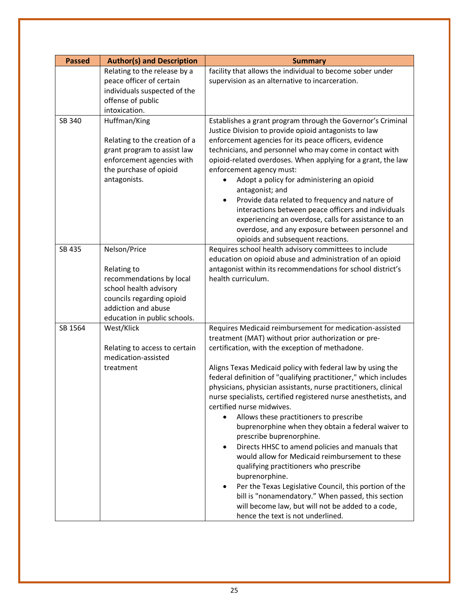| <b>Passed</b> | <b>Author(s) and Description</b>                                                                                                                                      | <b>Summary</b>                                                                                                                                                                                                                                                                                                                                                                                                                                                                                                                                                                                                                                                                                                                                                                                                                                                                                                                                                                                                        |
|---------------|-----------------------------------------------------------------------------------------------------------------------------------------------------------------------|-----------------------------------------------------------------------------------------------------------------------------------------------------------------------------------------------------------------------------------------------------------------------------------------------------------------------------------------------------------------------------------------------------------------------------------------------------------------------------------------------------------------------------------------------------------------------------------------------------------------------------------------------------------------------------------------------------------------------------------------------------------------------------------------------------------------------------------------------------------------------------------------------------------------------------------------------------------------------------------------------------------------------|
|               | Relating to the release by a<br>peace officer of certain<br>individuals suspected of the<br>offense of public<br>intoxication.                                        | facility that allows the individual to become sober under<br>supervision as an alternative to incarceration.                                                                                                                                                                                                                                                                                                                                                                                                                                                                                                                                                                                                                                                                                                                                                                                                                                                                                                          |
| SB 340        | Huffman/King<br>Relating to the creation of a<br>grant program to assist law<br>enforcement agencies with<br>the purchase of opioid<br>antagonists.                   | Establishes a grant program through the Governor's Criminal<br>Justice Division to provide opioid antagonists to law<br>enforcement agencies for its peace officers, evidence<br>technicians, and personnel who may come in contact with<br>opioid-related overdoses. When applying for a grant, the law<br>enforcement agency must:<br>Adopt a policy for administering an opioid<br>antagonist; and<br>Provide data related to frequency and nature of<br>٠<br>interactions between peace officers and individuals<br>experiencing an overdose, calls for assistance to an<br>overdose, and any exposure between personnel and<br>opioids and subsequent reactions.                                                                                                                                                                                                                                                                                                                                                 |
| SB 435        | Nelson/Price<br>Relating to<br>recommendations by local<br>school health advisory<br>councils regarding opioid<br>addiction and abuse<br>education in public schools. | Requires school health advisory committees to include<br>education on opioid abuse and administration of an opioid<br>antagonist within its recommendations for school district's<br>health curriculum.                                                                                                                                                                                                                                                                                                                                                                                                                                                                                                                                                                                                                                                                                                                                                                                                               |
| SB 1564       | West/Klick<br>Relating to access to certain<br>medication-assisted<br>treatment                                                                                       | Requires Medicaid reimbursement for medication-assisted<br>treatment (MAT) without prior authorization or pre-<br>certification, with the exception of methadone.<br>Aligns Texas Medicaid policy with federal law by using the<br>federal definition of "qualifying practitioner," which includes<br>physicians, physician assistants, nurse practitioners, clinical<br>nurse specialists, certified registered nurse anesthetists, and<br>certified nurse midwives.<br>Allows these practitioners to prescribe<br>$\bullet$<br>buprenorphine when they obtain a federal waiver to<br>prescribe buprenorphine.<br>Directs HHSC to amend policies and manuals that<br>$\bullet$<br>would allow for Medicaid reimbursement to these<br>qualifying practitioners who prescribe<br>buprenorphine.<br>Per the Texas Legislative Council, this portion of the<br>$\bullet$<br>bill is "nonamendatory." When passed, this section<br>will become law, but will not be added to a code,<br>hence the text is not underlined. |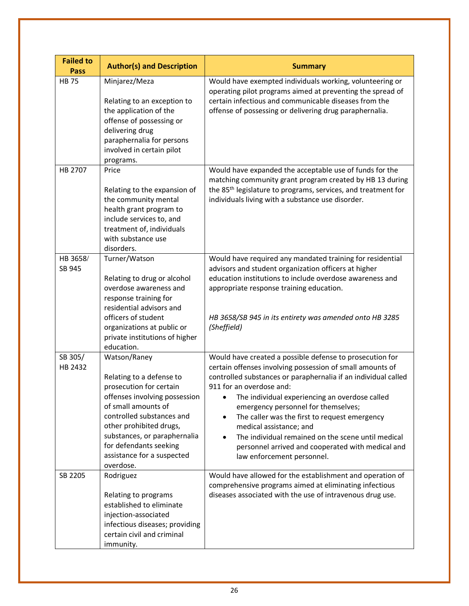| <b>Failed to</b><br><b>Pass</b> | <b>Author(s) and Description</b>                                                                                                                                                                                                                                                         | <b>Summary</b>                                                                                                                                                                                                                                                                                                                                                                                                                                                                                                                                 |
|---------------------------------|------------------------------------------------------------------------------------------------------------------------------------------------------------------------------------------------------------------------------------------------------------------------------------------|------------------------------------------------------------------------------------------------------------------------------------------------------------------------------------------------------------------------------------------------------------------------------------------------------------------------------------------------------------------------------------------------------------------------------------------------------------------------------------------------------------------------------------------------|
| <b>HB75</b>                     | Minjarez/Meza<br>Relating to an exception to<br>the application of the<br>offense of possessing or<br>delivering drug<br>paraphernalia for persons<br>involved in certain pilot<br>programs.                                                                                             | Would have exempted individuals working, volunteering or<br>operating pilot programs aimed at preventing the spread of<br>certain infectious and communicable diseases from the<br>offense of possessing or delivering drug paraphernalia.                                                                                                                                                                                                                                                                                                     |
| HB 2707                         | Price<br>Relating to the expansion of<br>the community mental<br>health grant program to<br>include services to, and<br>treatment of, individuals<br>with substance use<br>disorders.                                                                                                    | Would have expanded the acceptable use of funds for the<br>matching community grant program created by HB 13 during<br>the 85 <sup>th</sup> legislature to programs, services, and treatment for<br>individuals living with a substance use disorder.                                                                                                                                                                                                                                                                                          |
| HB 3658/<br>SB 945              | Turner/Watson<br>Relating to drug or alcohol<br>overdose awareness and<br>response training for<br>residential advisors and<br>officers of student<br>organizations at public or<br>private institutions of higher<br>education.                                                         | Would have required any mandated training for residential<br>advisors and student organization officers at higher<br>education institutions to include overdose awareness and<br>appropriate response training education.<br>HB 3658/SB 945 in its entirety was amended onto HB 3285<br>(Sheffield)                                                                                                                                                                                                                                            |
| SB 305/<br>HB 2432              | Watson/Raney<br>Relating to a defense to<br>prosecution for certain<br>offenses involving possession<br>of small amounts of<br>controlled substances and<br>other prohibited drugs,<br>substances, or paraphernalia<br>for defendants seeking<br>assistance for a suspected<br>overdose. | Would have created a possible defense to prosecution for<br>certain offenses involving possession of small amounts of<br>controlled substances or paraphernalia if an individual called<br>911 for an overdose and:<br>The individual experiencing an overdose called<br>emergency personnel for themselves;<br>The caller was the first to request emergency<br>medical assistance; and<br>The individual remained on the scene until medical<br>$\bullet$<br>personnel arrived and cooperated with medical and<br>law enforcement personnel. |
| SB 2205                         | Rodriguez<br>Relating to programs<br>established to eliminate<br>injection-associated<br>infectious diseases; providing<br>certain civil and criminal<br>immunity.                                                                                                                       | Would have allowed for the establishment and operation of<br>comprehensive programs aimed at eliminating infectious<br>diseases associated with the use of intravenous drug use.                                                                                                                                                                                                                                                                                                                                                               |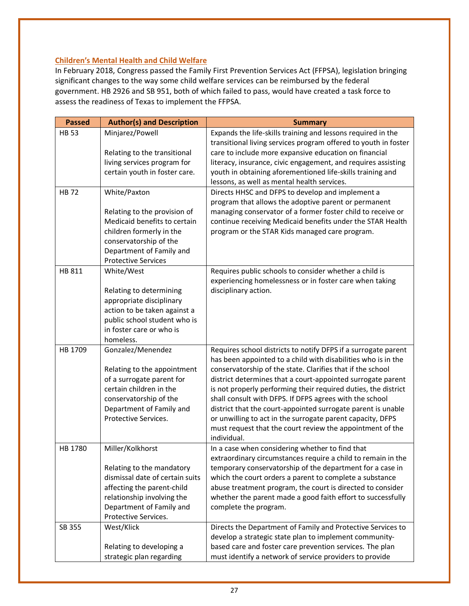### **Children's Mental Health and Child Welfare**

In February 2018, Congress passed the Family First Prevention Services Act (FFPSA), legislation bringing significant changes to the way some child welfare services can be reimbursed by the federal government. HB 2926 and SB 951, both of which failed to pass, would have created a task force to assess the readiness of Texas to implement the FFPSA.

| <b>Passed</b> | <b>Author(s) and Description</b>                 | <b>Summary</b>                                                  |
|---------------|--------------------------------------------------|-----------------------------------------------------------------|
| <b>HB 53</b>  | Minjarez/Powell                                  | Expands the life-skills training and lessons required in the    |
|               |                                                  | transitional living services program offered to youth in foster |
|               | Relating to the transitional                     | care to include more expansive education on financial           |
|               | living services program for                      | literacy, insurance, civic engagement, and requires assisting   |
|               | certain youth in foster care.                    | youth in obtaining aforementioned life-skills training and      |
|               |                                                  | lessons, as well as mental health services.                     |
| <b>HB72</b>   | White/Paxton                                     | Directs HHSC and DFPS to develop and implement a                |
|               |                                                  | program that allows the adoptive parent or permanent            |
|               | Relating to the provision of                     | managing conservator of a former foster child to receive or     |
|               | Medicaid benefits to certain                     | continue receiving Medicaid benefits under the STAR Health      |
|               | children formerly in the                         | program or the STAR Kids managed care program.                  |
|               | conservatorship of the                           |                                                                 |
|               | Department of Family and                         |                                                                 |
|               | <b>Protective Services</b>                       |                                                                 |
| HB 811        | White/West                                       | Requires public schools to consider whether a child is          |
|               |                                                  | experiencing homelessness or in foster care when taking         |
|               | Relating to determining                          | disciplinary action.                                            |
|               | appropriate disciplinary                         |                                                                 |
|               | action to be taken against a                     |                                                                 |
|               | public school student who is                     |                                                                 |
|               | in foster care or who is                         |                                                                 |
|               | homeless.                                        |                                                                 |
| HB 1709       | Gonzalez/Menendez                                | Requires school districts to notify DFPS if a surrogate parent  |
|               |                                                  | has been appointed to a child with disabilities who is in the   |
|               | Relating to the appointment                      | conservatorship of the state. Clarifies that if the school      |
|               | of a surrogate parent for                        | district determines that a court-appointed surrogate parent     |
|               | certain children in the                          | is not properly performing their required duties, the district  |
|               | conservatorship of the                           | shall consult with DFPS. If DFPS agrees with the school         |
|               | Department of Family and                         | district that the court-appointed surrogate parent is unable    |
|               | Protective Services.                             | or unwilling to act in the surrogate parent capacity, DFPS      |
|               |                                                  | must request that the court review the appointment of the       |
|               |                                                  | individual.                                                     |
| HB 1780       | Miller/Kolkhorst                                 | In a case when considering whether to find that                 |
|               |                                                  | extraordinary circumstances require a child to remain in the    |
|               | Relating to the mandatory                        | temporary conservatorship of the department for a case in       |
|               | dismissal date of certain suits                  | which the court orders a parent to complete a substance         |
|               | affecting the parent-child                       | abuse treatment program, the court is directed to consider      |
|               | relationship involving the                       | whether the parent made a good faith effort to successfully     |
|               | Department of Family and<br>Protective Services. | complete the program.                                           |
| SB 355        | West/Klick                                       |                                                                 |
|               |                                                  | Directs the Department of Family and Protective Services to     |
|               |                                                  | develop a strategic state plan to implement community-          |
|               | Relating to developing a                         | based care and foster care prevention services. The plan        |
|               | strategic plan regarding                         | must identify a network of service providers to provide         |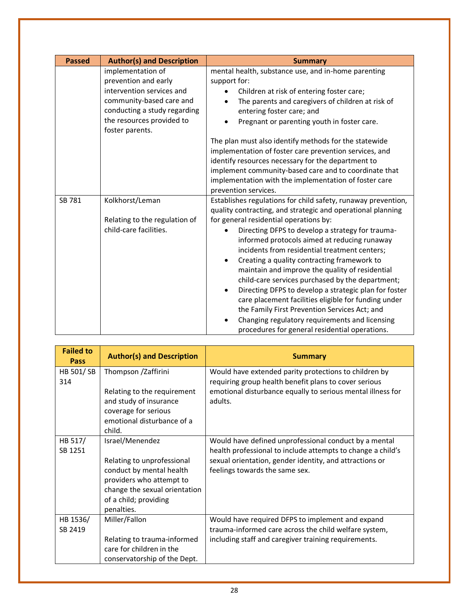| <b>Passed</b> | <b>Author(s) and Description</b>                                                                                                                                                   | <b>Summary</b>                                                                                                                                                                                                                                                                                                                                                                                                                                                                                                                                                                                                                                                                                                                  |
|---------------|------------------------------------------------------------------------------------------------------------------------------------------------------------------------------------|---------------------------------------------------------------------------------------------------------------------------------------------------------------------------------------------------------------------------------------------------------------------------------------------------------------------------------------------------------------------------------------------------------------------------------------------------------------------------------------------------------------------------------------------------------------------------------------------------------------------------------------------------------------------------------------------------------------------------------|
|               | implementation of<br>prevention and early<br>intervention services and<br>community-based care and<br>conducting a study regarding<br>the resources provided to<br>foster parents. | mental health, substance use, and in-home parenting<br>support for:<br>Children at risk of entering foster care;<br>The parents and caregivers of children at risk of<br>entering foster care; and<br>Pregnant or parenting youth in foster care.                                                                                                                                                                                                                                                                                                                                                                                                                                                                               |
|               |                                                                                                                                                                                    | The plan must also identify methods for the statewide<br>implementation of foster care prevention services, and<br>identify resources necessary for the department to<br>implement community-based care and to coordinate that<br>implementation with the implementation of foster care<br>prevention services.                                                                                                                                                                                                                                                                                                                                                                                                                 |
| SB 781        | Kolkhorst/Leman<br>Relating to the regulation of<br>child-care facilities.                                                                                                         | Establishes regulations for child safety, runaway prevention,<br>quality contracting, and strategic and operational planning<br>for general residential operations by:<br>Directing DFPS to develop a strategy for trauma-<br>informed protocols aimed at reducing runaway<br>incidents from residential treatment centers;<br>Creating a quality contracting framework to<br>$\bullet$<br>maintain and improve the quality of residential<br>child-care services purchased by the department;<br>Directing DFPS to develop a strategic plan for foster<br>$\bullet$<br>care placement facilities eligible for funding under<br>the Family First Prevention Services Act; and<br>Changing regulatory requirements and licensing |
|               |                                                                                                                                                                                    | procedures for general residential operations.                                                                                                                                                                                                                                                                                                                                                                                                                                                                                                                                                                                                                                                                                  |

| <b>Failed to</b><br>Pass | <b>Author(s) and Description</b>                                                                                                                                              | <b>Summary</b>                                                                                                                                                                                                    |
|--------------------------|-------------------------------------------------------------------------------------------------------------------------------------------------------------------------------|-------------------------------------------------------------------------------------------------------------------------------------------------------------------------------------------------------------------|
| HB 501/SB<br>314         | Thompson /Zaffirini<br>Relating to the requirement<br>and study of insurance<br>coverage for serious<br>emotional disturbance of a<br>child.                                  | Would have extended parity protections to children by<br>requiring group health benefit plans to cover serious<br>emotional disturbance equally to serious mental illness for<br>adults.                          |
| HB 517/<br>SB 1251       | Israel/Menendez<br>Relating to unprofessional<br>conduct by mental health<br>providers who attempt to<br>change the sexual orientation<br>of a child; providing<br>penalties. | Would have defined unprofessional conduct by a mental<br>health professional to include attempts to change a child's<br>sexual orientation, gender identity, and attractions or<br>feelings towards the same sex. |
| HB 1536/<br>SB 2419      | Miller/Fallon<br>Relating to trauma-informed<br>care for children in the<br>conservatorship of the Dept.                                                                      | Would have required DFPS to implement and expand<br>trauma-informed care across the child welfare system,<br>including staff and caregiver training requirements.                                                 |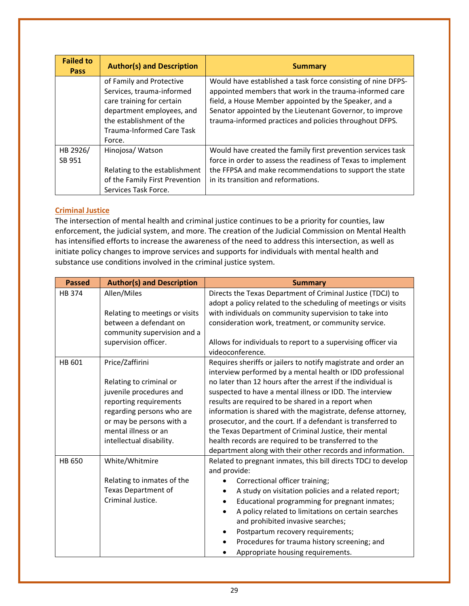| <b>Failed to</b><br><b>Pass</b> | <b>Author(s) and Description</b>                                                                                                                                                          | <b>Summary</b>                                                                                                                                                                                                                                                                                          |
|---------------------------------|-------------------------------------------------------------------------------------------------------------------------------------------------------------------------------------------|---------------------------------------------------------------------------------------------------------------------------------------------------------------------------------------------------------------------------------------------------------------------------------------------------------|
|                                 | of Family and Protective<br>Services, trauma-informed<br>care training for certain<br>department employees, and<br>the establishment of the<br><b>Trauma-Informed Care Task</b><br>Force. | Would have established a task force consisting of nine DFPS-<br>appointed members that work in the trauma-informed care<br>field, a House Member appointed by the Speaker, and a<br>Senator appointed by the Lieutenant Governor, to improve<br>trauma-informed practices and policies throughout DFPS. |
| HB 2926/<br>SB 951              | Hinojosa/ Watson<br>Relating to the establishment<br>of the Family First Prevention<br>Services Task Force.                                                                               | Would have created the family first prevention services task<br>force in order to assess the readiness of Texas to implement<br>the FFPSA and make recommendations to support the state<br>in its transition and reformations.                                                                          |

### **Criminal Justice**

The intersection of mental health and criminal justice continues to be a priority for counties, law enforcement, the judicial system, and more. The creation of the Judicial Commission on Mental Health has intensified efforts to increase the awareness of the need to address this intersection, as well as initiate policy changes to improve services and supports for individuals with mental health and substance use conditions involved in the criminal justice system.

| <b>Passed</b> | <b>Author(s) and Description</b>                                                                                                                                                                             | <b>Summary</b>                                                                                                                                                                                                                                                                                                                                                                                                                                                                                                                                                                                                                |
|---------------|--------------------------------------------------------------------------------------------------------------------------------------------------------------------------------------------------------------|-------------------------------------------------------------------------------------------------------------------------------------------------------------------------------------------------------------------------------------------------------------------------------------------------------------------------------------------------------------------------------------------------------------------------------------------------------------------------------------------------------------------------------------------------------------------------------------------------------------------------------|
| HB 374        | Allen/Miles<br>Relating to meetings or visits<br>between a defendant on<br>community supervision and a<br>supervision officer.                                                                               | Directs the Texas Department of Criminal Justice (TDCJ) to<br>adopt a policy related to the scheduling of meetings or visits<br>with individuals on community supervision to take into<br>consideration work, treatment, or community service.<br>Allows for individuals to report to a supervising officer via<br>videoconference.                                                                                                                                                                                                                                                                                           |
| HB 601        | Price/Zaffirini<br>Relating to criminal or<br>juvenile procedures and<br>reporting requirements<br>regarding persons who are<br>or may be persons with a<br>mental illness or an<br>intellectual disability. | Requires sheriffs or jailers to notify magistrate and order an<br>interview performed by a mental health or IDD professional<br>no later than 12 hours after the arrest if the individual is<br>suspected to have a mental illness or IDD. The interview<br>results are required to be shared in a report when<br>information is shared with the magistrate, defense attorney,<br>prosecutor, and the court. If a defendant is transferred to<br>the Texas Department of Criminal Justice, their mental<br>health records are required to be transferred to the<br>department along with their other records and information. |
| HB 650        | White/Whitmire<br>Relating to inmates of the<br>Texas Department of<br>Criminal Justice.                                                                                                                     | Related to pregnant inmates, this bill directs TDCJ to develop<br>and provide:<br>Correctional officer training;<br>٠<br>A study on visitation policies and a related report;<br>$\bullet$<br>Educational programming for pregnant inmates;<br>A policy related to limitations on certain searches<br>and prohibited invasive searches;<br>Postpartum recovery requirements;<br>Procedures for trauma history screening; and<br>Appropriate housing requirements.                                                                                                                                                             |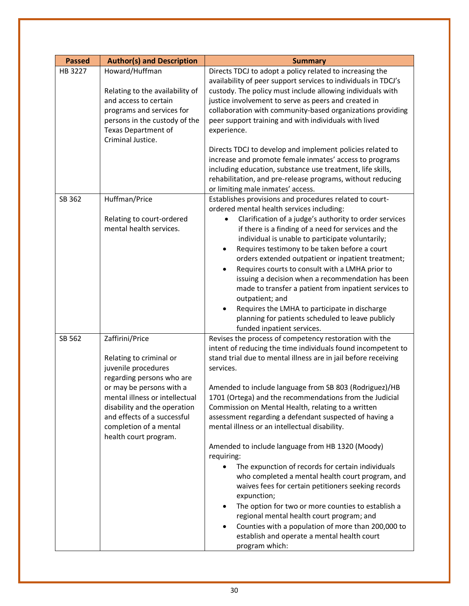| <b>Passed</b> | <b>Author(s) and Description</b>                                                                                                                                                                                                                                               | <b>Summary</b>                                                                                                                                                                                                                                                                                                                                                                                                                                                                                                                                                                                                                                                                                                                                                                                                                                                                                                                                                                           |
|---------------|--------------------------------------------------------------------------------------------------------------------------------------------------------------------------------------------------------------------------------------------------------------------------------|------------------------------------------------------------------------------------------------------------------------------------------------------------------------------------------------------------------------------------------------------------------------------------------------------------------------------------------------------------------------------------------------------------------------------------------------------------------------------------------------------------------------------------------------------------------------------------------------------------------------------------------------------------------------------------------------------------------------------------------------------------------------------------------------------------------------------------------------------------------------------------------------------------------------------------------------------------------------------------------|
| HB 3227       | Howard/Huffman<br>Relating to the availability of<br>and access to certain<br>programs and services for<br>persons in the custody of the<br><b>Texas Department of</b><br>Criminal Justice.                                                                                    | Directs TDCJ to adopt a policy related to increasing the<br>availability of peer support services to individuals in TDCJ's<br>custody. The policy must include allowing individuals with<br>justice involvement to serve as peers and created in<br>collaboration with community-based organizations providing<br>peer support training and with individuals with lived<br>experience.<br>Directs TDCJ to develop and implement policies related to<br>increase and promote female inmates' access to programs<br>including education, substance use treatment, life skills,<br>rehabilitation, and pre-release programs, without reducing<br>or limiting male inmates' access.                                                                                                                                                                                                                                                                                                          |
| SB 362        | Huffman/Price<br>Relating to court-ordered<br>mental health services.                                                                                                                                                                                                          | Establishes provisions and procedures related to court-<br>ordered mental health services including:<br>Clarification of a judge's authority to order services<br>if there is a finding of a need for services and the<br>individual is unable to participate voluntarily;<br>Requires testimony to be taken before a court<br>٠<br>orders extended outpatient or inpatient treatment;<br>Requires courts to consult with a LMHA prior to<br>issuing a decision when a recommendation has been<br>made to transfer a patient from inpatient services to<br>outpatient; and<br>Requires the LMHA to participate in discharge<br>planning for patients scheduled to leave publicly<br>funded inpatient services.                                                                                                                                                                                                                                                                           |
| SB 562        | Zaffirini/Price<br>Relating to criminal or<br>juvenile procedures<br>regarding persons who are<br>or may be persons with a<br>mental illness or intellectual<br>disability and the operation<br>and effects of a successful<br>completion of a mental<br>health court program. | Revises the process of competency restoration with the<br>intent of reducing the time individuals found incompetent to<br>stand trial due to mental illness are in jail before receiving<br>services.<br>Amended to include language from SB 803 (Rodriguez)/HB<br>1701 (Ortega) and the recommendations from the Judicial<br>Commission on Mental Health, relating to a written<br>assessment regarding a defendant suspected of having a<br>mental illness or an intellectual disability.<br>Amended to include language from HB 1320 (Moody)<br>requiring:<br>The expunction of records for certain individuals<br>who completed a mental health court program, and<br>waives fees for certain petitioners seeking records<br>expunction;<br>The option for two or more counties to establish a<br>$\bullet$<br>regional mental health court program; and<br>Counties with a population of more than 200,000 to<br>٠<br>establish and operate a mental health court<br>program which: |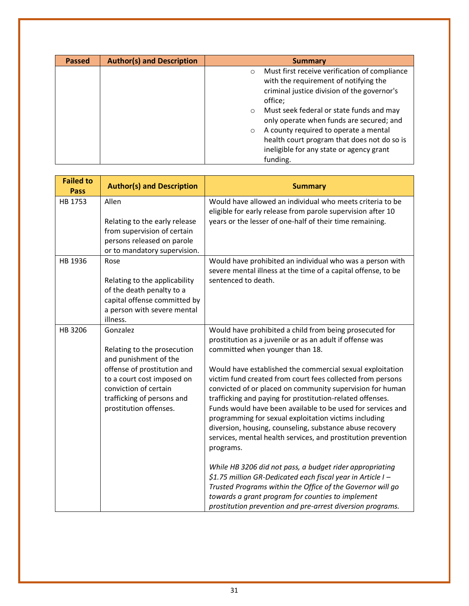| <b>Passed</b> | <b>Author(s) and Description</b> | <b>Summary</b>                                                                                                                                                                                                                                                                                                                                                                                                            |
|---------------|----------------------------------|---------------------------------------------------------------------------------------------------------------------------------------------------------------------------------------------------------------------------------------------------------------------------------------------------------------------------------------------------------------------------------------------------------------------------|
|               |                                  | Must first receive verification of compliance<br>$\circ$<br>with the requirement of notifying the<br>criminal justice division of the governor's<br>office;<br>Must seek federal or state funds and may<br>$\circ$<br>only operate when funds are secured; and<br>A county required to operate a mental<br>$\circ$<br>health court program that does not do so is<br>ineligible for any state or agency grant<br>funding. |

| <b>Failed to</b><br><b>Pass</b> | <b>Author(s) and Description</b>                                                                                                                                                                               | <b>Summary</b>                                                                                                                                                                                                                                                                                                                                                                                                                                                                                                                                                                                                                                                                                                                                                                                                                                                                                                                                                                            |
|---------------------------------|----------------------------------------------------------------------------------------------------------------------------------------------------------------------------------------------------------------|-------------------------------------------------------------------------------------------------------------------------------------------------------------------------------------------------------------------------------------------------------------------------------------------------------------------------------------------------------------------------------------------------------------------------------------------------------------------------------------------------------------------------------------------------------------------------------------------------------------------------------------------------------------------------------------------------------------------------------------------------------------------------------------------------------------------------------------------------------------------------------------------------------------------------------------------------------------------------------------------|
| HB 1753                         | Allen<br>Relating to the early release<br>from supervision of certain<br>persons released on parole<br>or to mandatory supervision.                                                                            | Would have allowed an individual who meets criteria to be<br>eligible for early release from parole supervision after 10<br>years or the lesser of one-half of their time remaining.                                                                                                                                                                                                                                                                                                                                                                                                                                                                                                                                                                                                                                                                                                                                                                                                      |
| HB 1936                         | Rose<br>Relating to the applicability<br>of the death penalty to a<br>capital offense committed by<br>a person with severe mental<br>illness.                                                                  | Would have prohibited an individual who was a person with<br>severe mental illness at the time of a capital offense, to be<br>sentenced to death.                                                                                                                                                                                                                                                                                                                                                                                                                                                                                                                                                                                                                                                                                                                                                                                                                                         |
| HB 3206                         | Gonzalez<br>Relating to the prosecution<br>and punishment of the<br>offense of prostitution and<br>to a court cost imposed on<br>conviction of certain<br>trafficking of persons and<br>prostitution offenses. | Would have prohibited a child from being prosecuted for<br>prostitution as a juvenile or as an adult if offense was<br>committed when younger than 18.<br>Would have established the commercial sexual exploitation<br>victim fund created from court fees collected from persons<br>convicted of or placed on community supervision for human<br>trafficking and paying for prostitution-related offenses.<br>Funds would have been available to be used for services and<br>programming for sexual exploitation victims including<br>diversion, housing, counseling, substance abuse recovery<br>services, mental health services, and prostitution prevention<br>programs.<br>While HB 3206 did not pass, a budget rider appropriating<br>\$1.75 million GR-Dedicated each fiscal year in Article I -<br>Trusted Programs within the Office of the Governor will go<br>towards a grant program for counties to implement<br>prostitution prevention and pre-arrest diversion programs. |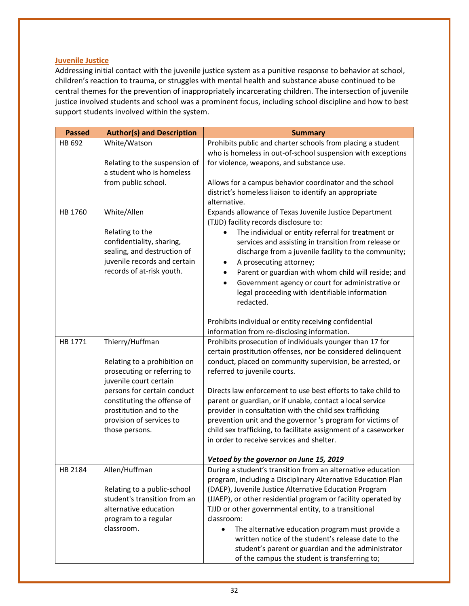#### **Juvenile Justice**

Addressing initial contact with the juvenile justice system as a punitive response to behavior at school, children's reaction to trauma, or struggles with mental health and substance abuse continued to be central themes for the prevention of inappropriately incarcerating children. The intersection of juvenile justice involved students and school was a prominent focus, including school discipline and how to best support students involved within the system.

| <b>Passed</b> | <b>Author(s) and Description</b> | <b>Summary</b>                                                  |
|---------------|----------------------------------|-----------------------------------------------------------------|
| HB 692        | White/Watson                     | Prohibits public and charter schools from placing a student     |
|               |                                  | who is homeless in out-of-school suspension with exceptions     |
|               | Relating to the suspension of    | for violence, weapons, and substance use.                       |
|               | a student who is homeless        |                                                                 |
|               | from public school.              | Allows for a campus behavior coordinator and the school         |
|               |                                  | district's homeless liaison to identify an appropriate          |
|               |                                  | alternative.                                                    |
| HB 1760       | White/Allen                      | Expands allowance of Texas Juvenile Justice Department          |
|               |                                  | (TJJD) facility records disclosure to:                          |
|               | Relating to the                  | The individual or entity referral for treatment or              |
|               | confidentiality, sharing,        | services and assisting in transition from release or            |
|               | sealing, and destruction of      | discharge from a juvenile facility to the community;            |
|               | juvenile records and certain     | A prosecuting attorney;                                         |
|               | records of at-risk youth.        | Parent or guardian with whom child will reside; and             |
|               |                                  | Government agency or court for administrative or<br>$\bullet$   |
|               |                                  | legal proceeding with identifiable information                  |
|               |                                  | redacted.                                                       |
|               |                                  |                                                                 |
|               |                                  | Prohibits individual or entity receiving confidential           |
|               |                                  | information from re-disclosing information.                     |
| HB 1771       | Thierry/Huffman                  | Prohibits prosecution of individuals younger than 17 for        |
|               |                                  | certain prostitution offenses, nor be considered delinquent     |
|               | Relating to a prohibition on     | conduct, placed on community supervision, be arrested, or       |
|               | prosecuting or referring to      | referred to juvenile courts.                                    |
|               | juvenile court certain           |                                                                 |
|               | persons for certain conduct      | Directs law enforcement to use best efforts to take child to    |
|               | constituting the offense of      | parent or guardian, or if unable, contact a local service       |
|               | prostitution and to the          | provider in consultation with the child sex trafficking         |
|               | provision of services to         | prevention unit and the governor 's program for victims of      |
|               | those persons.                   | child sex trafficking, to facilitate assignment of a caseworker |
|               |                                  | in order to receive services and shelter.                       |
|               |                                  |                                                                 |
|               |                                  | Vetoed by the governor on June 15, 2019                         |
| HB 2184       | Allen/Huffman                    | During a student's transition from an alternative education     |
|               |                                  | program, including a Disciplinary Alternative Education Plan    |
|               | Relating to a public-school      | (DAEP), Juvenile Justice Alternative Education Program          |
|               | student's transition from an     | (JJAEP), or other residential program or facility operated by   |
|               | alternative education            | TJJD or other governmental entity, to a transitional            |
|               | program to a regular             | classroom:                                                      |
|               | classroom.                       | The alternative education program must provide a<br>$\bullet$   |
|               |                                  | written notice of the student's release date to the             |
|               |                                  | student's parent or guardian and the administrator              |
|               |                                  | of the campus the student is transferring to;                   |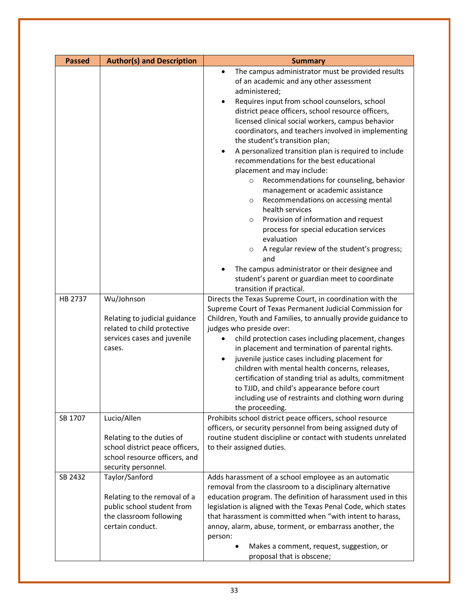| <b>Passed</b> | <b>Author(s) and Description</b>                                                                                                    | <b>Summary</b>                                                                                                                                                                                                                                                                                                                                                                                                                                                                                                                                                                                                                                                                                                                                                                                                                                                                                                                                                                                                                                                                                                                                                                                                                                                                                                                                                                                                                                                                                                                                                            |
|---------------|-------------------------------------------------------------------------------------------------------------------------------------|---------------------------------------------------------------------------------------------------------------------------------------------------------------------------------------------------------------------------------------------------------------------------------------------------------------------------------------------------------------------------------------------------------------------------------------------------------------------------------------------------------------------------------------------------------------------------------------------------------------------------------------------------------------------------------------------------------------------------------------------------------------------------------------------------------------------------------------------------------------------------------------------------------------------------------------------------------------------------------------------------------------------------------------------------------------------------------------------------------------------------------------------------------------------------------------------------------------------------------------------------------------------------------------------------------------------------------------------------------------------------------------------------------------------------------------------------------------------------------------------------------------------------------------------------------------------------|
| HB 2737       | Wu/Johnson<br>Relating to judicial guidance<br>related to child protective<br>services cases and juvenile<br>cases.                 | The campus administrator must be provided results<br>$\bullet$<br>of an academic and any other assessment<br>administered;<br>Requires input from school counselors, school<br>district peace officers, school resource officers,<br>licensed clinical social workers, campus behavior<br>coordinators, and teachers involved in implementing<br>the student's transition plan;<br>A personalized transition plan is required to include<br>$\bullet$<br>recommendations for the best educational<br>placement and may include:<br>Recommendations for counseling, behavior<br>$\circ$<br>management or academic assistance<br>Recommendations on accessing mental<br>$\circ$<br>health services<br>Provision of information and request<br>$\circ$<br>process for special education services<br>evaluation<br>A regular review of the student's progress;<br>$\circ$<br>and<br>The campus administrator or their designee and<br>student's parent or guardian meet to coordinate<br>transition if practical.<br>Directs the Texas Supreme Court, in coordination with the<br>Supreme Court of Texas Permanent Judicial Commission for<br>Children, Youth and Families, to annually provide guidance to<br>judges who preside over:<br>child protection cases including placement, changes<br>in placement and termination of parental rights.<br>juvenile justice cases including placement for<br>$\bullet$<br>children with mental health concerns, releases,<br>certification of standing trial as adults, commitment<br>to TJJD, and child's appearance before court |
|               |                                                                                                                                     | including use of restraints and clothing worn during<br>the proceeding.                                                                                                                                                                                                                                                                                                                                                                                                                                                                                                                                                                                                                                                                                                                                                                                                                                                                                                                                                                                                                                                                                                                                                                                                                                                                                                                                                                                                                                                                                                   |
| SB 1707       | Lucio/Allen<br>Relating to the duties of<br>school district peace officers,<br>school resource officers, and<br>security personnel. | Prohibits school district peace officers, school resource<br>officers, or security personnel from being assigned duty of<br>routine student discipline or contact with students unrelated<br>to their assigned duties.                                                                                                                                                                                                                                                                                                                                                                                                                                                                                                                                                                                                                                                                                                                                                                                                                                                                                                                                                                                                                                                                                                                                                                                                                                                                                                                                                    |
| SB 2432       | Taylor/Sanford<br>Relating to the removal of a<br>public school student from<br>the classroom following<br>certain conduct.         | Adds harassment of a school employee as an automatic<br>removal from the classroom to a disciplinary alternative<br>education program. The definition of harassment used in this<br>legislation is aligned with the Texas Penal Code, which states<br>that harassment is committed when "with intent to harass,<br>annoy, alarm, abuse, torment, or embarrass another, the<br>person:<br>Makes a comment, request, suggestion, or<br>proposal that is obscene;                                                                                                                                                                                                                                                                                                                                                                                                                                                                                                                                                                                                                                                                                                                                                                                                                                                                                                                                                                                                                                                                                                            |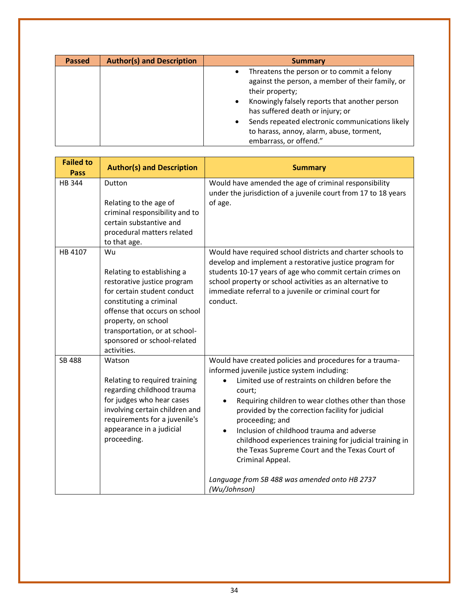| <b>Passed</b> | <b>Author(s) and Description</b> | <b>Summary</b>                                                                                                                                                                                                                                                                                                                                                 |
|---------------|----------------------------------|----------------------------------------------------------------------------------------------------------------------------------------------------------------------------------------------------------------------------------------------------------------------------------------------------------------------------------------------------------------|
|               |                                  | Threatens the person or to commit a felony<br>$\bullet$<br>against the person, a member of their family, or<br>their property;<br>Knowingly falsely reports that another person<br>$\bullet$<br>has suffered death or injury; or<br>Sends repeated electronic communications likely<br>٠<br>to harass, annoy, alarm, abuse, torment,<br>embarrass, or offend." |

| <b>Failed to</b><br>Pass | <b>Author(s) and Description</b>                                                                                                                                                                                                                                 | <b>Summary</b>                                                                                                                                                                                                                                                                                                                                                                                                                                                                                                                                                               |
|--------------------------|------------------------------------------------------------------------------------------------------------------------------------------------------------------------------------------------------------------------------------------------------------------|------------------------------------------------------------------------------------------------------------------------------------------------------------------------------------------------------------------------------------------------------------------------------------------------------------------------------------------------------------------------------------------------------------------------------------------------------------------------------------------------------------------------------------------------------------------------------|
| <b>HB 344</b>            | Dutton<br>Relating to the age of<br>criminal responsibility and to<br>certain substantive and<br>procedural matters related<br>to that age.                                                                                                                      | Would have amended the age of criminal responsibility<br>under the jurisdiction of a juvenile court from 17 to 18 years<br>of age.                                                                                                                                                                                                                                                                                                                                                                                                                                           |
| HB 4107                  | Wu<br>Relating to establishing a<br>restorative justice program<br>for certain student conduct<br>constituting a criminal<br>offense that occurs on school<br>property, on school<br>transportation, or at school-<br>sponsored or school-related<br>activities. | Would have required school districts and charter schools to<br>develop and implement a restorative justice program for<br>students 10-17 years of age who commit certain crimes on<br>school property or school activities as an alternative to<br>immediate referral to a juvenile or criminal court for<br>conduct.                                                                                                                                                                                                                                                        |
| SB 488                   | Watson<br>Relating to required training<br>regarding childhood trauma<br>for judges who hear cases<br>involving certain children and<br>requirements for a juvenile's<br>appearance in a judicial<br>proceeding.                                                 | Would have created policies and procedures for a trauma-<br>informed juvenile justice system including:<br>Limited use of restraints on children before the<br>$\bullet$<br>court;<br>Requiring children to wear clothes other than those<br>provided by the correction facility for judicial<br>proceeding; and<br>Inclusion of childhood trauma and adverse<br>$\bullet$<br>childhood experiences training for judicial training in<br>the Texas Supreme Court and the Texas Court of<br>Criminal Appeal.<br>Language from SB 488 was amended onto HB 2737<br>(Wu/Johnson) |